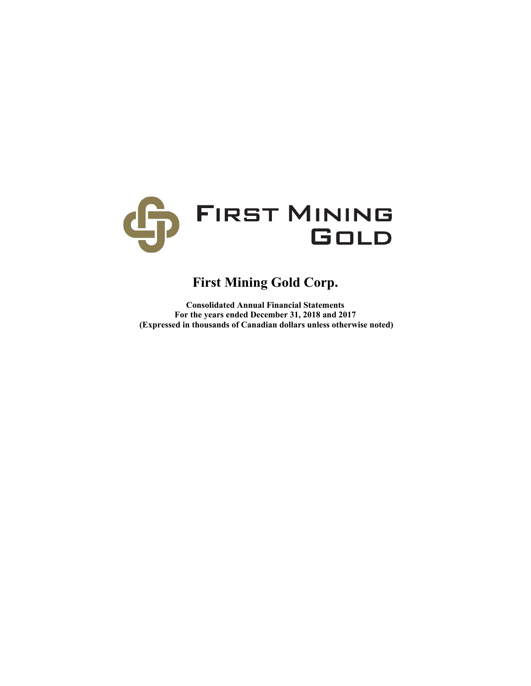

# **First Mining Gold Corp.**

**Consolidated Annual Financial Statements For the years ended December 31, 2018 and 2017 (Expressed in thousands of Canadian dollars unless otherwise noted)**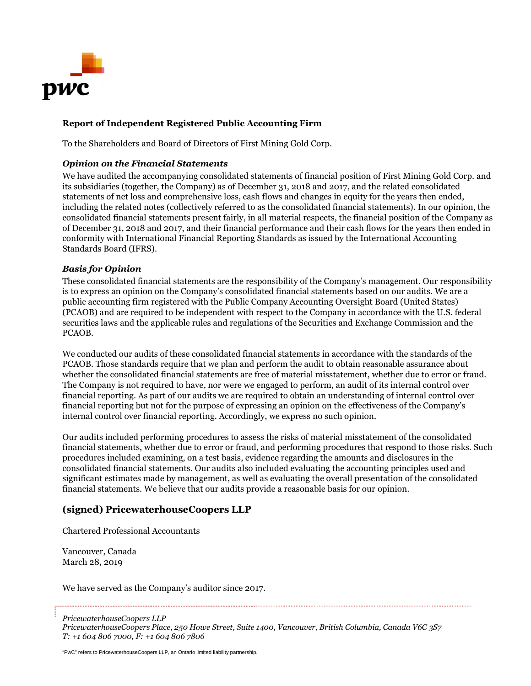

## **Report of Independent Registered Public Accounting Firm**

To the Shareholders and Board of Directors of First Mining Gold Corp.

## *Opinion on the Financial Statements*

We have audited the accompanying consolidated statements of financial position of First Mining Gold Corp. and its subsidiaries (together, the Company) as of December 31, 2018 and 2017, and the related consolidated statements of net loss and comprehensive loss, cash flows and changes in equity for the years then ended, including the related notes (collectively referred to as the consolidated financial statements). In our opinion, the consolidated financial statements present fairly, in all material respects, the financial position of the Company as of December 31, 2018 and 2017, and their financial performance and their cash flows for the years then ended in conformity with International Financial Reporting Standards as issued by the International Accounting Standards Board (IFRS).

## *Basis for Opinion*

These consolidated financial statements are the responsibility of the Company's management. Our responsibility is to express an opinion on the Company's consolidated financial statements based on our audits. We are a public accounting firm registered with the Public Company Accounting Oversight Board (United States) (PCAOB) and are required to be independent with respect to the Company in accordance with the U.S. federal securities laws and the applicable rules and regulations of the Securities and Exchange Commission and the PCAOB.

We conducted our audits of these consolidated financial statements in accordance with the standards of the PCAOB. Those standards require that we plan and perform the audit to obtain reasonable assurance about whether the consolidated financial statements are free of material misstatement, whether due to error or fraud. The Company is not required to have, nor were we engaged to perform, an audit of its internal control over financial reporting. As part of our audits we are required to obtain an understanding of internal control over financial reporting but not for the purpose of expressing an opinion on the effectiveness of the Company's internal control over financial reporting. Accordingly, we express no such opinion.

Our audits included performing procedures to assess the risks of material misstatement of the consolidated financial statements, whether due to error or fraud, and performing procedures that respond to those risks. Such procedures included examining, on a test basis, evidence regarding the amounts and disclosures in the consolidated financial statements. Our audits also included evaluating the accounting principles used and significant estimates made by management, as well as evaluating the overall presentation of the consolidated financial statements. We believe that our audits provide a reasonable basis for our opinion.

## **(signed) PricewaterhouseCoopers LLP**

Chartered Professional Accountants

Vancouver, Canada March 28, 2019

We have served as the Company's auditor since 2017.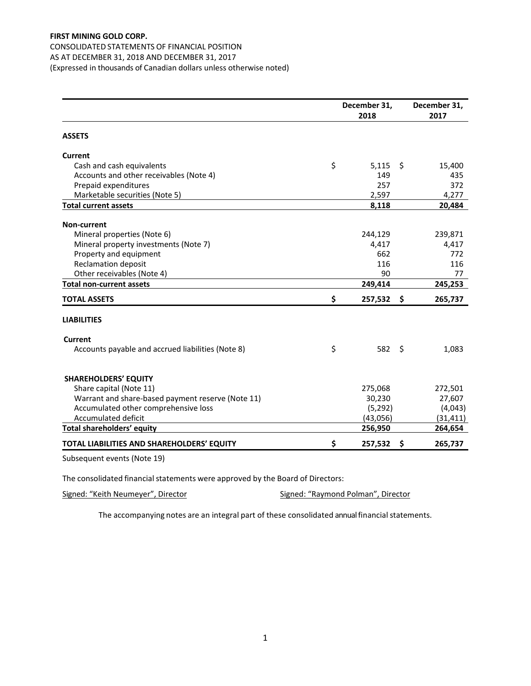## **FIRST MINING GOLD CORP.**  CONSOLIDATED STATEMENTS OF FINANCIAL POSITION AS AT DECEMBER 31, 2018 AND DECEMBER 31, 2017

(Expressed in thousands of Canadian dollars unless otherwise noted)

|                                                   | December 31,<br>2018 |     | December 31,<br>2017 |
|---------------------------------------------------|----------------------|-----|----------------------|
| <b>ASSETS</b>                                     |                      |     |                      |
| <b>Current</b>                                    |                      |     |                      |
| Cash and cash equivalents                         | \$<br>5,115          | -\$ | 15,400               |
| Accounts and other receivables (Note 4)           | 149                  |     | 435                  |
| Prepaid expenditures                              | 257                  |     | 372                  |
| Marketable securities (Note 5)                    | 2,597                |     | 4,277                |
| <b>Total current assets</b>                       | 8,118                |     | 20,484               |
| <b>Non-current</b>                                |                      |     |                      |
| Mineral properties (Note 6)                       | 244,129              |     | 239,871              |
| Mineral property investments (Note 7)             | 4,417                |     | 4,417                |
| Property and equipment                            | 662                  |     | 772                  |
| <b>Reclamation deposit</b>                        | 116                  |     | 116                  |
| Other receivables (Note 4)                        | 90                   |     | 77                   |
| <b>Total non-current assets</b>                   | 249,414              |     | 245,253              |
| <b>TOTAL ASSETS</b>                               | \$<br>257,532 \$     |     | 265,737              |
| <b>LIABILITIES</b>                                |                      |     |                      |
| <b>Current</b>                                    |                      |     |                      |
| Accounts payable and accrued liabilities (Note 8) | \$<br>$582 \quad$    |     | 1,083                |
| <b>SHAREHOLDERS' EQUITY</b>                       |                      |     |                      |
| Share capital (Note 11)                           | 275,068              |     | 272,501              |
| Warrant and share-based payment reserve (Note 11) | 30,230               |     | 27,607               |
| Accumulated other comprehensive loss              | (5, 292)             |     | (4,043)              |
| Accumulated deficit                               | (43,056)             |     | (31, 411)            |
| Total shareholders' equity                        | 256,950              |     | 264,654              |
| TOTAL LIABILITIES AND SHAREHOLDERS' EQUITY        | \$<br>257,532        | \$. | 265,737              |
| Subsequent events (Note 19)                       |                      |     |                      |

The consolidated financial statements were approved by the Board of Directors:

Signed: "Keith Neumeyer", Director **Signed: "Raymond Polman"**, Director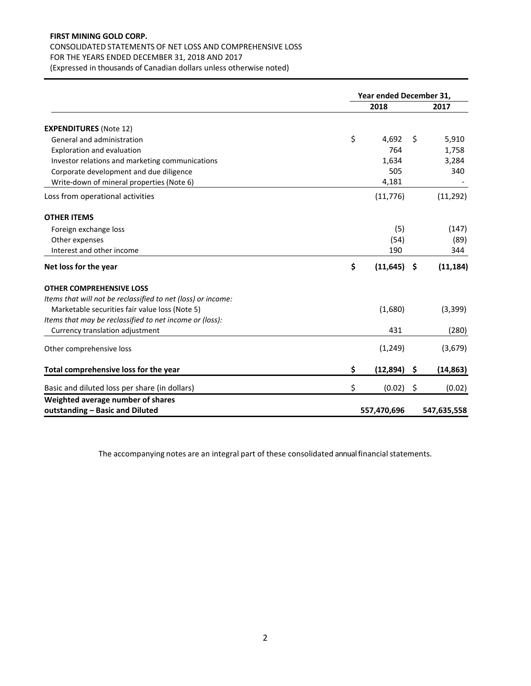## **FIRST MINING GOLD CORP.**

## CONSOLIDATED STATEMENTS OF NET LOSS AND COMPREHENSIVE LOSS FOR THE YEARS ENDED DECEMBER 31, 2018 AND 2017

(Expressed in thousands of Canadian dollars unless otherwise noted)

|                                                              | Year ended December 31, |     |             |  |
|--------------------------------------------------------------|-------------------------|-----|-------------|--|
|                                                              | 2018                    |     | 2017        |  |
| <b>EXPENDITURES (Note 12)</b>                                |                         |     |             |  |
| General and administration                                   | \$<br>4,692             | \$  | 5,910       |  |
| Exploration and evaluation                                   | 764                     |     | 1,758       |  |
| Investor relations and marketing communications              | 1,634                   |     | 3,284       |  |
| Corporate development and due diligence                      | 505                     |     | 340         |  |
| Write-down of mineral properties (Note 6)                    | 4,181                   |     |             |  |
| Loss from operational activities                             | (11, 776)               |     | (11, 292)   |  |
| <b>OTHER ITEMS</b>                                           |                         |     |             |  |
| Foreign exchange loss                                        | (5)                     |     | (147)       |  |
| Other expenses                                               | (54)                    |     | (89)        |  |
| Interest and other income                                    | 190                     |     | 344         |  |
| Net loss for the year                                        | \$<br>(11, 645)         | \$. | (11, 184)   |  |
| <b>OTHER COMPREHENSIVE LOSS</b>                              |                         |     |             |  |
| Items that will not be reclassified to net (loss) or income: |                         |     |             |  |
| Marketable securities fair value loss (Note 5)               | (1,680)                 |     | (3,399)     |  |
| Items that may be reclassified to net income or (loss):      |                         |     |             |  |
| Currency translation adjustment                              | 431                     |     | (280)       |  |
| Other comprehensive loss                                     | (1, 249)                |     | (3,679)     |  |
| Total comprehensive loss for the year                        | \$<br>(12, 894)         | \$. | (14, 863)   |  |
| Basic and diluted loss per share (in dollars)                | \$<br>(0.02)            | \$  | (0.02)      |  |
| Weighted average number of shares                            |                         |     |             |  |
| outstanding - Basic and Diluted                              | 557,470,696             |     | 547,635,558 |  |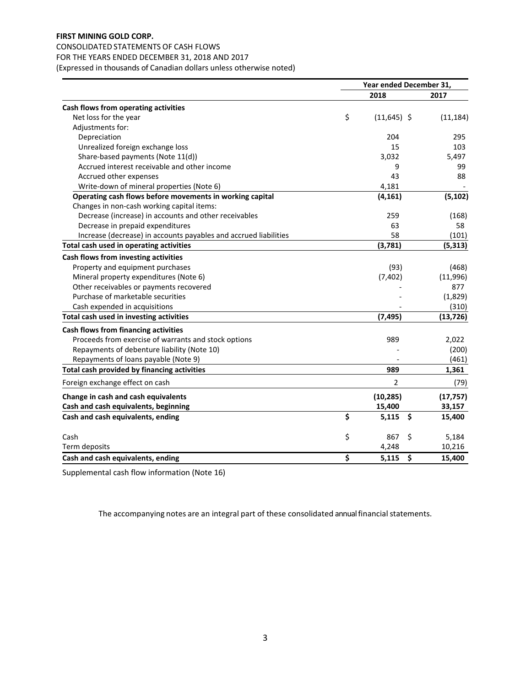## **FIRST MINING GOLD CORP.**

## CONSOLIDATED STATEMENTS OF CASH FLOWS

FOR THE YEARS ENDED DECEMBER 31, 2018 AND 2017

(Expressed in thousands of Canadian dollars unless otherwise noted)

|                                                                  | Year ended December 31, |               |           |  |
|------------------------------------------------------------------|-------------------------|---------------|-----------|--|
|                                                                  |                         | 2018          | 2017      |  |
| Cash flows from operating activities                             |                         |               |           |  |
| Net loss for the year                                            | \$                      | $(11,645)$ \$ | (11, 184) |  |
| Adjustments for:                                                 |                         |               |           |  |
| Depreciation                                                     |                         | 204           | 295       |  |
| Unrealized foreign exchange loss                                 |                         | 15            | 103       |  |
| Share-based payments (Note 11(d))                                |                         | 3,032         | 5,497     |  |
| Accrued interest receivable and other income                     |                         | 9             | 99        |  |
| Accrued other expenses                                           |                         | 43            | 88        |  |
| Write-down of mineral properties (Note 6)                        |                         | 4,181         |           |  |
| Operating cash flows before movements in working capital         |                         | (4, 161)      | (5, 102)  |  |
| Changes in non-cash working capital items:                       |                         |               |           |  |
| Decrease (increase) in accounts and other receivables            |                         | 259           | (168)     |  |
| Decrease in prepaid expenditures                                 |                         | 63            | 58        |  |
| Increase (decrease) in accounts payables and accrued liabilities |                         | 58            | (101)     |  |
| Total cash used in operating activities                          |                         | (3,781)       | (5, 313)  |  |
| Cash flows from investing activities                             |                         |               |           |  |
| Property and equipment purchases                                 |                         | (93)          | (468)     |  |
| Mineral property expenditures (Note 6)                           |                         | (7, 402)      | (11,996)  |  |
| Other receivables or payments recovered                          |                         |               | 877       |  |
| Purchase of marketable securities                                |                         |               | (1,829)   |  |
| Cash expended in acquisitions                                    |                         |               | (310)     |  |
| Total cash used in investing activities                          |                         | (7, 495)      | (13, 726) |  |
| Cash flows from financing activities                             |                         |               |           |  |
| Proceeds from exercise of warrants and stock options             |                         | 989           | 2,022     |  |
| Repayments of debenture liability (Note 10)                      |                         |               | (200)     |  |
| Repayments of loans payable (Note 9)                             |                         |               | (461)     |  |
| Total cash provided by financing activities                      |                         | 989           | 1,361     |  |
| Foreign exchange effect on cash                                  |                         | 2             | (79)      |  |
| Change in cash and cash equivalents                              |                         | (10, 285)     | (17, 757) |  |
| Cash and cash equivalents, beginning                             |                         | 15,400        | 33,157    |  |
| Cash and cash equivalents, ending                                | \$                      | \$<br>5,115   | 15,400    |  |
| Cash                                                             | \$                      | \$<br>867     | 5,184     |  |
| Term deposits                                                    |                         | 4,248         | 10,216    |  |
| Cash and cash equivalents, ending                                | \$                      | \$<br>5,115   | 15,400    |  |

Supplemental cash flow information (Note 16)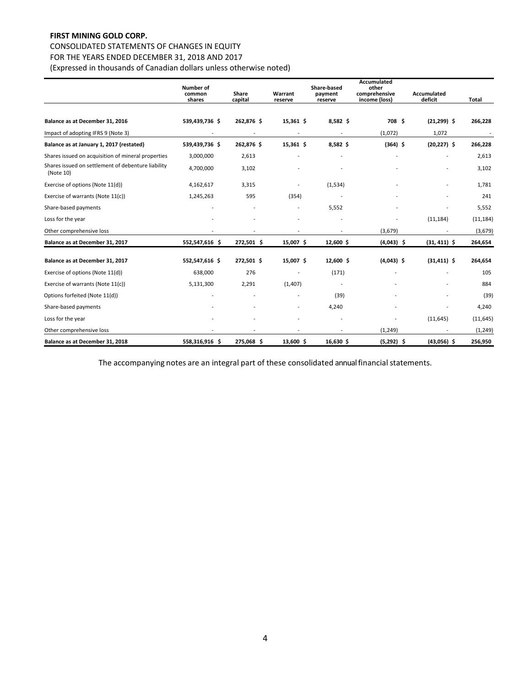## **FIRST MINING GOLD CORP.**

## CONSOLIDATED STATEMENTS OF CHANGES IN EQUITY FOR THE YEARS ENDED DECEMBER 31, 2018 AND 2017

(Expressed in thousands of Canadian dollars unless otherwise noted)

|                                                                 | Number of<br>common | Share                    | Warrant                  | <b>Share-based</b><br>payment | Accumulated<br>other<br>comprehensive | <b>Accumulated</b><br>deficit | <b>Total</b> |
|-----------------------------------------------------------------|---------------------|--------------------------|--------------------------|-------------------------------|---------------------------------------|-------------------------------|--------------|
|                                                                 | shares              | capital                  | reserve                  | reserve                       | income (loss)                         |                               |              |
| Balance as at December 31, 2016                                 | 539,439,736 \$      | 262,876 \$               | 15,361 \$                | $8,582$ \$                    | 708 \$                                | $(21, 299)$ \$                | 266,228      |
| Impact of adopting IFRS 9 (Note 3)                              |                     | $\overline{\phantom{a}}$ | $\overline{\phantom{a}}$ | $\overline{\phantom{a}}$      | (1,072)                               | 1,072                         |              |
| Balance as at January 1, 2017 (restated)                        | 539,439,736 \$      | 262,876 \$               | 15,361 \$                | 8,582 \$                      | $(364)$ \$                            | $(20, 227)$ \$                | 266,228      |
| Shares issued on acquisition of mineral properties              | 3,000,000           | 2,613                    |                          |                               |                                       |                               | 2,613        |
| Shares issued on settlement of debenture liability<br>(Note 10) | 4,700,000           | 3,102                    |                          |                               |                                       |                               | 3,102        |
| Exercise of options (Note 11(d))                                | 4,162,617           | 3,315                    |                          | (1,534)                       |                                       |                               | 1,781        |
| Exercise of warrants (Note 11(c))                               | 1,245,263           | 595                      | (354)                    |                               |                                       |                               | 241          |
| Share-based payments                                            |                     |                          | $\overline{\phantom{a}}$ | 5,552                         |                                       |                               | 5,552        |
| Loss for the year                                               |                     |                          |                          |                               |                                       | (11, 184)                     | (11, 184)    |
| Other comprehensive loss                                        |                     |                          |                          |                               | (3,679)                               |                               | (3,679)      |
| Balance as at December 31, 2017                                 | 552,547,616 \$      | 272,501 \$               | 15,007 \$                | 12,600 \$                     | $(4,043)$ \$                          | $(31, 411)$ \$                | 264,654      |
| Balance as at December 31, 2017                                 | 552,547,616 \$      | 272,501 \$               | 15,007 \$                | 12,600 \$                     | $(4,043)$ \$                          | $(31, 411)$ \$                | 264,654      |
| Exercise of options (Note 11(d))                                | 638,000             | 276                      |                          | (171)                         |                                       |                               | 105          |
| Exercise of warrants (Note 11(c))                               | 5,131,300           | 2,291                    | (1,407)                  |                               |                                       |                               | 884          |
| Options forfeited (Note 11(d))                                  |                     |                          |                          | (39)                          |                                       |                               | (39)         |
| Share-based payments                                            |                     |                          |                          | 4,240                         |                                       |                               | 4,240        |
| Loss for the year                                               |                     |                          |                          |                               |                                       | (11, 645)                     | (11, 645)    |
| Other comprehensive loss                                        |                     |                          |                          |                               | (1, 249)                              |                               | (1, 249)     |
| Balance as at December 31, 2018                                 | 558,316,916 \$      | 275,068 \$               | 13,600 \$                | 16,630 \$                     | $(5,292)$ \$                          | $(43,056)$ \$                 | 256,950      |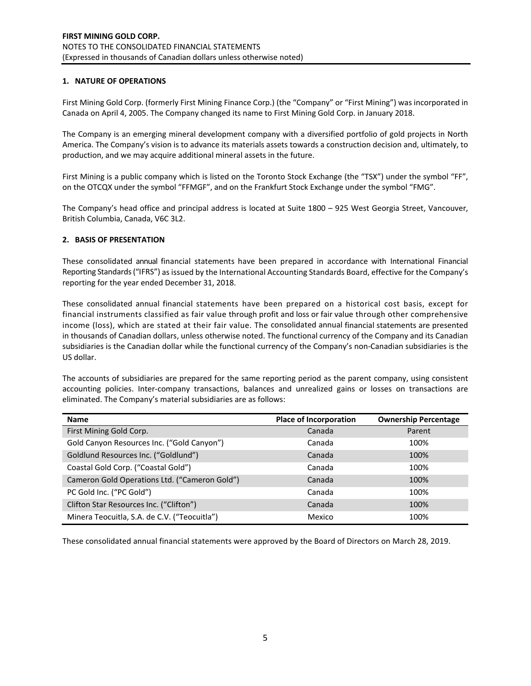## **1. NATURE OF OPERATIONS**

First Mining Gold Corp. (formerly First Mining Finance Corp.) (the "Company" or "First Mining") was incorporated in Canada on April 4, 2005. The Company changed its name to First Mining Gold Corp. in January 2018.

The Company is an emerging mineral development company with a diversified portfolio of gold projects in North America. The Company's vision is to advance its materials assets towards a construction decision and, ultimately, to production, and we may acquire additional mineral assets in the future.

First Mining is a public company which is listed on the Toronto Stock Exchange (the "TSX") under the symbol "FF", on the OTCQX under the symbol "FFMGF", and on the Frankfurt Stock Exchange under the symbol "FMG".

The Company's head office and principal address is located at Suite 1800 – 925 West Georgia Street, Vancouver, British Columbia, Canada, V6C 3L2.

#### **2. BASIS OF PRESENTATION**

These consolidated annual financial statements have been prepared in accordance with International Financial Reporting Standards ("IFRS") as issued by the International Accounting Standards Board, effective for the Company's reporting for the year ended December 31, 2018.

These consolidated annual financial statements have been prepared on a historical cost basis, except for financial instruments classified as fair value through profit and loss or fair value through other comprehensive income (loss), which are stated at their fair value. The consolidated annual financial statements are presented in thousands of Canadian dollars, unless otherwise noted. The functional currency of the Company and its Canadian subsidiaries is the Canadian dollar while the functional currency of the Company's non‐Canadian subsidiaries is the US dollar.

The accounts of subsidiaries are prepared for the same reporting period as the parent company, using consistent accounting policies. Inter‐company transactions, balances and unrealized gains or losses on transactions are eliminated. The Company's material subsidiaries are as follows:

| <b>Name</b>                                   | <b>Place of Incorporation</b> | <b>Ownership Percentage</b> |
|-----------------------------------------------|-------------------------------|-----------------------------|
| First Mining Gold Corp.                       | Canada                        | Parent                      |
| Gold Canyon Resources Inc. ("Gold Canyon")    | Canada                        | 100%                        |
| Goldlund Resources Inc. ("Goldlund")          | Canada                        | 100%                        |
| Coastal Gold Corp. ("Coastal Gold")           | Canada                        | 100%                        |
| Cameron Gold Operations Ltd. ("Cameron Gold") | Canada                        | 100%                        |
| PC Gold Inc. ("PC Gold")                      | Canada                        | 100%                        |
| Clifton Star Resources Inc. ("Clifton")       | Canada                        | 100%                        |
| Minera Teocuitla, S.A. de C.V. ("Teocuitla")  | Mexico                        | 100%                        |

These consolidated annual financial statements were approved by the Board of Directors on March 28, 2019.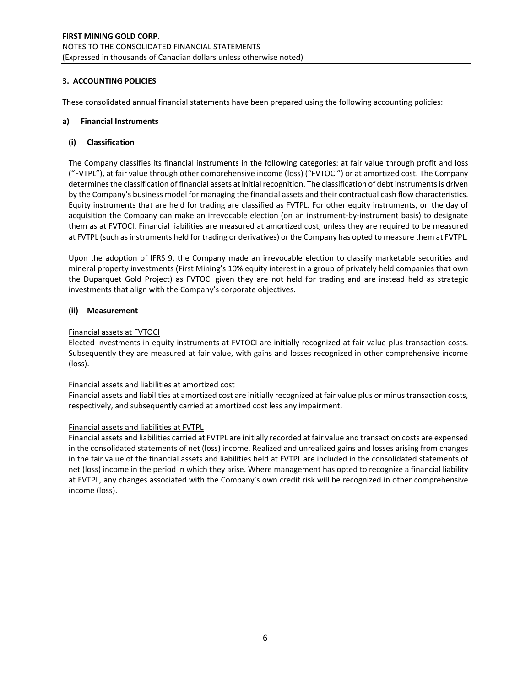## **3. ACCOUNTING POLICIES**

These consolidated annual financial statements have been prepared using the following accounting policies:

#### **a) Financial Instruments**

#### **(i) Classification**

The Company classifies its financial instruments in the following categories: at fair value through profit and loss ("FVTPL"), at fair value through other comprehensive income (loss) ("FVTOCI") or at amortized cost. The Company determines the classification of financial assets at initial recognition. The classification of debt instruments is driven by the Company's business model for managing the financial assets and their contractual cash flow characteristics. Equity instruments that are held for trading are classified as FVTPL. For other equity instruments, on the day of acquisition the Company can make an irrevocable election (on an instrument-by-instrument basis) to designate them as at FVTOCI. Financial liabilities are measured at amortized cost, unless they are required to be measured at FVTPL (such as instruments held for trading or derivatives) or the Company has opted to measure them at FVTPL.

Upon the adoption of IFRS 9, the Company made an irrevocable election to classify marketable securities and mineral property investments (First Mining's 10% equity interest in a group of privately held companies that own the Duparquet Gold Project) as FVTOCI given they are not held for trading and are instead held as strategic investments that align with the Company's corporate objectives.

#### **(ii) Measurement**

#### Financial assets at FVTOCI

Elected investments in equity instruments at FVTOCI are initially recognized at fair value plus transaction costs. Subsequently they are measured at fair value, with gains and losses recognized in other comprehensive income (loss).

#### Financial assets and liabilities at amortized cost

Financial assets and liabilities at amortized cost are initially recognized at fair value plus or minus transaction costs, respectively, and subsequently carried at amortized cost less any impairment.

#### Financial assets and liabilities at FVTPL

Financial assets and liabilities carried at FVTPL are initially recorded at fair value and transaction costs are expensed in the consolidated statements of net (loss) income. Realized and unrealized gains and losses arising from changes in the fair value of the financial assets and liabilities held at FVTPL are included in the consolidated statements of net (loss) income in the period in which they arise. Where management has opted to recognize a financial liability at FVTPL, any changes associated with the Company's own credit risk will be recognized in other comprehensive income (loss).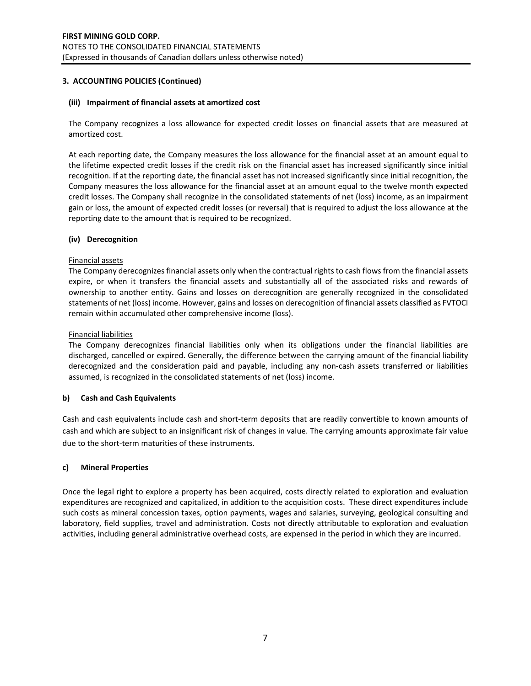#### **(iii) Impairment of financial assets at amortized cost**

The Company recognizes a loss allowance for expected credit losses on financial assets that are measured at amortized cost.

At each reporting date, the Company measures the loss allowance for the financial asset at an amount equal to the lifetime expected credit losses if the credit risk on the financial asset has increased significantly since initial recognition. If at the reporting date, the financial asset has not increased significantly since initial recognition, the Company measures the loss allowance for the financial asset at an amount equal to the twelve month expected credit losses. The Company shall recognize in the consolidated statements of net (loss) income, as an impairment gain or loss, the amount of expected credit losses (or reversal) that is required to adjust the loss allowance at the reporting date to the amount that is required to be recognized.

#### **(iv) Derecognition**

#### Financial assets

The Company derecognizes financial assets only when the contractual rights to cash flows from the financial assets expire, or when it transfers the financial assets and substantially all of the associated risks and rewards of ownership to another entity. Gains and losses on derecognition are generally recognized in the consolidated statements of net (loss) income. However, gains and losses on derecognition of financial assets classified as FVTOCI remain within accumulated other comprehensive income (loss).

#### Financial liabilities

The Company derecognizes financial liabilities only when its obligations under the financial liabilities are discharged, cancelled or expired. Generally, the difference between the carrying amount of the financial liability derecognized and the consideration paid and payable, including any non-cash assets transferred or liabilities assumed, is recognized in the consolidated statements of net (loss) income.

#### **b) Cash and Cash Equivalents**

Cash and cash equivalents include cash and short‐term deposits that are readily convertible to known amounts of cash and which are subject to an insignificant risk of changes in value. The carrying amounts approximate fair value due to the short‐term maturities of these instruments.

#### **c) Mineral Properties**

Once the legal right to explore a property has been acquired, costs directly related to exploration and evaluation expenditures are recognized and capitalized, in addition to the acquisition costs. These direct expenditures include such costs as mineral concession taxes, option payments, wages and salaries, surveying, geological consulting and laboratory, field supplies, travel and administration. Costs not directly attributable to exploration and evaluation activities, including general administrative overhead costs, are expensed in the period in which they are incurred.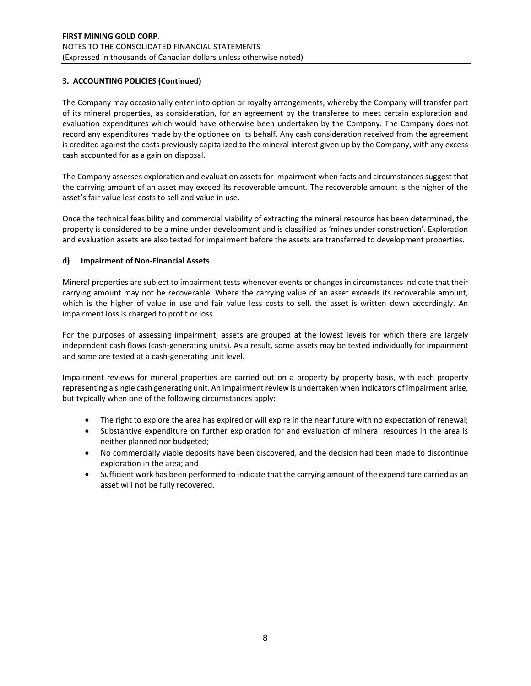The Company may occasionally enter into option or royalty arrangements, whereby the Company will transfer part of its mineral properties, as consideration, for an agreement by the transferee to meet certain exploration and evaluation expenditures which would have otherwise been undertaken by the Company. The Company does not record any expenditures made by the optionee on its behalf. Any cash consideration received from the agreement is credited against the costs previously capitalized to the mineral interest given up by the Company, with any excess cash accounted for as a gain on disposal.

The Company assesses exploration and evaluation assets for impairment when facts and circumstances suggest that the carrying amount of an asset may exceed its recoverable amount. The recoverable amount is the higher of the asset's fair value less costs to sell and value in use.

Once the technical feasibility and commercial viability of extracting the mineral resource has been determined, the property is considered to be a mine under development and is classified as 'mines under construction'. Exploration and evaluation assets are also tested for impairment before the assets are transferred to development properties.

#### **d) Impairment of Non‐Financial Assets**

Mineral properties are subject to impairment tests whenever events or changes in circumstances indicate that their carrying amount may not be recoverable. Where the carrying value of an asset exceeds its recoverable amount, which is the higher of value in use and fair value less costs to sell, the asset is written down accordingly. An impairment loss is charged to profit or loss.

For the purposes of assessing impairment, assets are grouped at the lowest levels for which there are largely independent cash flows (cash‐generating units). As a result, some assets may be tested individually for impairment and some are tested at a cash‐generating unit level.

Impairment reviews for mineral properties are carried out on a property by property basis, with each property representing a single cash generating unit. An impairment review is undertaken when indicators of impairment arise, but typically when one of the following circumstances apply:

- The right to explore the area has expired or will expire in the near future with no expectation of renewal;
- Substantive expenditure on further exploration for and evaluation of mineral resources in the area is neither planned nor budgeted;
- No commercially viable deposits have been discovered, and the decision had been made to discontinue exploration in the area; and
- Sufficient work has been performed to indicate that the carrying amount of the expenditure carried as an asset will not be fully recovered.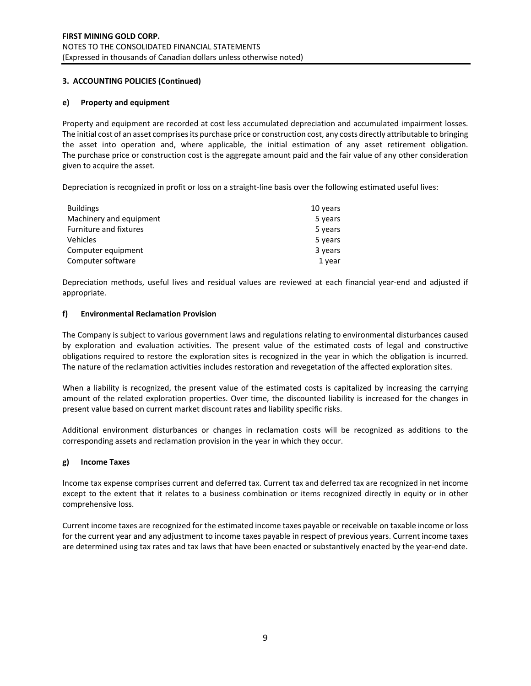#### **e) Property and equipment**

Property and equipment are recorded at cost less accumulated depreciation and accumulated impairment losses. The initial cost of an asset comprises its purchase price or construction cost, any costs directly attributable to bringing the asset into operation and, where applicable, the initial estimation of any asset retirement obligation. The purchase price or construction cost is the aggregate amount paid and the fair value of any other consideration given to acquire the asset.

Depreciation is recognized in profit or loss on a straight‐line basis over the following estimated useful lives:

| <b>Buildings</b>              | 10 years |
|-------------------------------|----------|
| Machinery and equipment       | 5 years  |
| <b>Furniture and fixtures</b> | 5 years  |
| Vehicles                      | 5 years  |
| Computer equipment            | 3 years  |
| Computer software             | 1 year   |

Depreciation methods, useful lives and residual values are reviewed at each financial year-end and adjusted if appropriate.

#### **f) Environmental Reclamation Provision**

The Company is subject to various government laws and regulations relating to environmental disturbances caused by exploration and evaluation activities. The present value of the estimated costs of legal and constructive obligations required to restore the exploration sites is recognized in the year in which the obligation is incurred. The nature of the reclamation activities includes restoration and revegetation of the affected exploration sites.

When a liability is recognized, the present value of the estimated costs is capitalized by increasing the carrying amount of the related exploration properties. Over time, the discounted liability is increased for the changes in present value based on current market discount rates and liability specific risks.

Additional environment disturbances or changes in reclamation costs will be recognized as additions to the corresponding assets and reclamation provision in the year in which they occur.

#### **g) Income Taxes**

Income tax expense comprises current and deferred tax. Current tax and deferred tax are recognized in net income except to the extent that it relates to a business combination or items recognized directly in equity or in other comprehensive loss.

Current income taxes are recognized for the estimated income taxes payable or receivable on taxable income or loss for the current year and any adjustment to income taxes payable in respect of previous years. Current income taxes are determined using tax rates and tax laws that have been enacted or substantively enacted by the year-end date.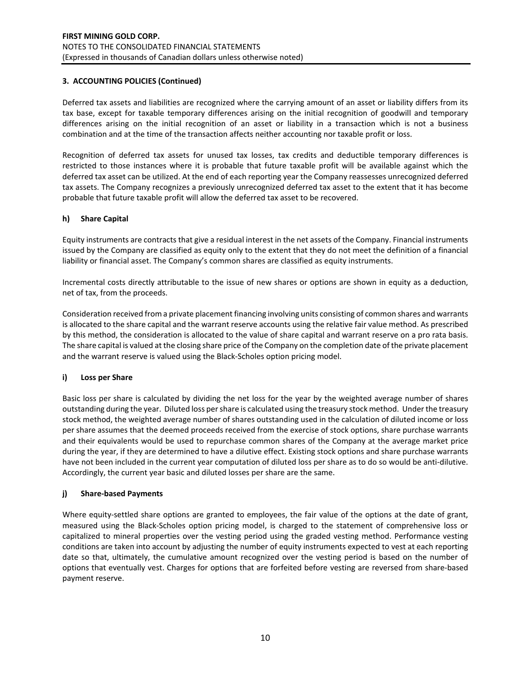Deferred tax assets and liabilities are recognized where the carrying amount of an asset or liability differs from its tax base, except for taxable temporary differences arising on the initial recognition of goodwill and temporary differences arising on the initial recognition of an asset or liability in a transaction which is not a business combination and at the time of the transaction affects neither accounting nor taxable profit or loss.

Recognition of deferred tax assets for unused tax losses, tax credits and deductible temporary differences is restricted to those instances where it is probable that future taxable profit will be available against which the deferred tax asset can be utilized. At the end of each reporting year the Company reassesses unrecognized deferred tax assets. The Company recognizes a previously unrecognized deferred tax asset to the extent that it has become probable that future taxable profit will allow the deferred tax asset to be recovered.

## **h) Share Capital**

Equity instruments are contracts that give a residual interest in the net assets of the Company. Financial instruments issued by the Company are classified as equity only to the extent that they do not meet the definition of a financial liability or financial asset. The Company's common shares are classified as equity instruments.

Incremental costs directly attributable to the issue of new shares or options are shown in equity as a deduction, net of tax, from the proceeds.

Consideration received from a private placement financing involving units consisting of common shares and warrants is allocated to the share capital and the warrant reserve accounts using the relative fair value method. As prescribed by this method, the consideration is allocated to the value of share capital and warrant reserve on a pro rata basis. The share capital is valued at the closing share price of the Company on the completion date of the private placement and the warrant reserve is valued using the Black‐Scholes option pricing model.

#### **i) Loss per Share**

Basic loss per share is calculated by dividing the net loss for the year by the weighted average number of shares outstanding during the year. Diluted loss per share is calculated using the treasury stock method. Under the treasury stock method, the weighted average number of shares outstanding used in the calculation of diluted income or loss per share assumes that the deemed proceeds received from the exercise of stock options, share purchase warrants and their equivalents would be used to repurchase common shares of the Company at the average market price during the year, if they are determined to have a dilutive effect. Existing stock options and share purchase warrants have not been included in the current year computation of diluted loss per share as to do so would be anti-dilutive. Accordingly, the current year basic and diluted losses per share are the same.

#### **j) Share‐based Payments**

Where equity-settled share options are granted to employees, the fair value of the options at the date of grant, measured using the Black‐Scholes option pricing model, is charged to the statement of comprehensive loss or capitalized to mineral properties over the vesting period using the graded vesting method. Performance vesting conditions are taken into account by adjusting the number of equity instruments expected to vest at each reporting date so that, ultimately, the cumulative amount recognized over the vesting period is based on the number of options that eventually vest. Charges for options that are forfeited before vesting are reversed from share‐based payment reserve.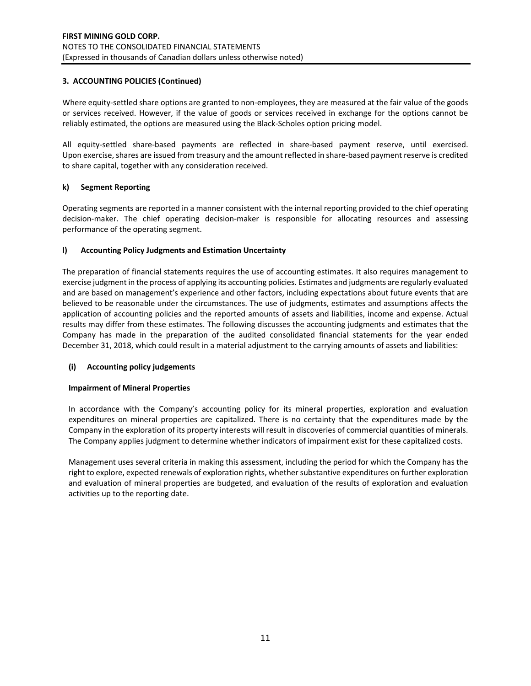Where equity-settled share options are granted to non-employees, they are measured at the fair value of the goods or services received. However, if the value of goods or services received in exchange for the options cannot be reliably estimated, the options are measured using the Black‐Scholes option pricing model.

All equity-settled share-based payments are reflected in share-based payment reserve, until exercised. Upon exercise, shares are issued from treasury and the amount reflected in share‐based payment reserve is credited to share capital, together with any consideration received.

## **k) Segment Reporting**

Operating segments are reported in a manner consistent with the internal reporting provided to the chief operating decision-maker. The chief operating decision-maker is responsible for allocating resources and assessing performance of the operating segment.

## **l) Accounting Policy Judgments and Estimation Uncertainty**

The preparation of financial statements requires the use of accounting estimates. It also requires management to exercise judgment in the process of applying its accounting policies. Estimates and judgments are regularly evaluated and are based on management's experience and other factors, including expectations about future events that are believed to be reasonable under the circumstances. The use of judgments, estimates and assumptions affects the application of accounting policies and the reported amounts of assets and liabilities, income and expense. Actual results may differ from these estimates. The following discusses the accounting judgments and estimates that the Company has made in the preparation of the audited consolidated financial statements for the year ended December 31, 2018, which could result in a material adjustment to the carrying amounts of assets and liabilities:

#### **(i) Accounting policy judgements**

#### **Impairment of Mineral Properties**

In accordance with the Company's accounting policy for its mineral properties, exploration and evaluation expenditures on mineral properties are capitalized. There is no certainty that the expenditures made by the Company in the exploration of its property interests will result in discoveries of commercial quantities of minerals. The Company applies judgment to determine whether indicators of impairment exist for these capitalized costs.

Management uses several criteria in making this assessment, including the period for which the Company has the right to explore, expected renewals of exploration rights, whether substantive expenditures on further exploration and evaluation of mineral properties are budgeted, and evaluation of the results of exploration and evaluation activities up to the reporting date.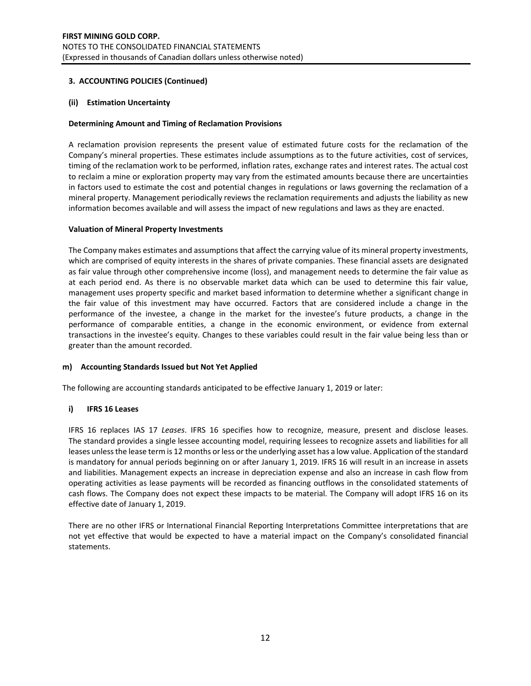## **(ii) Estimation Uncertainty**

## **Determining Amount and Timing of Reclamation Provisions**

A reclamation provision represents the present value of estimated future costs for the reclamation of the Company's mineral properties. These estimates include assumptions as to the future activities, cost of services, timing of the reclamation work to be performed, inflation rates, exchange rates and interest rates. The actual cost to reclaim a mine or exploration property may vary from the estimated amounts because there are uncertainties in factors used to estimate the cost and potential changes in regulations or laws governing the reclamation of a mineral property. Management periodically reviews the reclamation requirements and adjusts the liability as new information becomes available and will assess the impact of new regulations and laws as they are enacted.

#### **Valuation of Mineral Property Investments**

The Company makes estimates and assumptions that affect the carrying value of its mineral property investments, which are comprised of equity interests in the shares of private companies. These financial assets are designated as fair value through other comprehensive income (loss), and management needs to determine the fair value as at each period end. As there is no observable market data which can be used to determine this fair value, management uses property specific and market based information to determine whether a significant change in the fair value of this investment may have occurred. Factors that are considered include a change in the performance of the investee, a change in the market for the investee's future products, a change in the performance of comparable entities, a change in the economic environment, or evidence from external transactions in the investee's equity. Changes to these variables could result in the fair value being less than or greater than the amount recorded.

#### **m) Accounting Standards Issued but Not Yet Applied**

The following are accounting standards anticipated to be effective January 1, 2019 or later:

#### **i) IFRS 16 Leases**

IFRS 16 replaces IAS 17 *Leases*. IFRS 16 specifies how to recognize, measure, present and disclose leases. The standard provides a single lessee accounting model, requiring lessees to recognize assets and liabilities for all leases unless the lease term is 12 months or less or the underlying asset has a low value. Application of the standard is mandatory for annual periods beginning on or after January 1, 2019. IFRS 16 will result in an increase in assets and liabilities. Management expects an increase in depreciation expense and also an increase in cash flow from operating activities as lease payments will be recorded as financing outflows in the consolidated statements of cash flows. The Company does not expect these impacts to be material. The Company will adopt IFRS 16 on its effective date of January 1, 2019.

There are no other IFRS or International Financial Reporting Interpretations Committee interpretations that are not yet effective that would be expected to have a material impact on the Company's consolidated financial statements.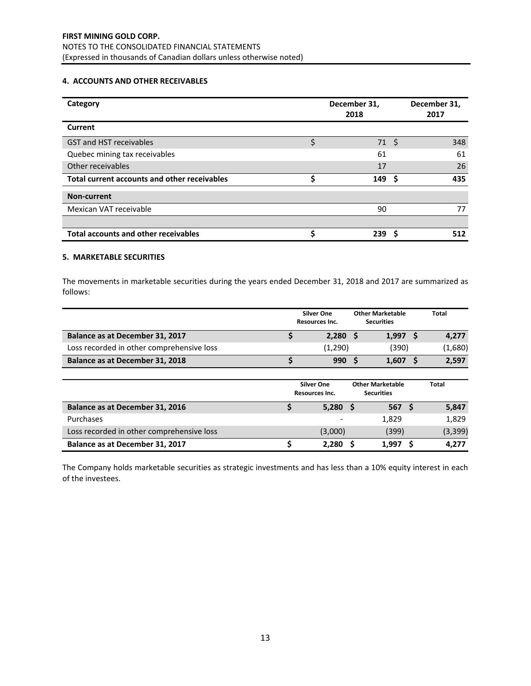#### **4. ACCOUNTS AND OTHER RECEIVABLES**

| Category                                     |    | December 31,<br>2018 |   | December 31,<br>2017 |
|----------------------------------------------|----|----------------------|---|----------------------|
| Current                                      |    |                      |   |                      |
| <b>GST and HST receivables</b>               | \$ | $71 \;$ \$           |   | 348                  |
| Quebec mining tax receivables                |    | 61                   |   | 61                   |
| Other receivables                            |    | 17                   |   | 26                   |
| Total current accounts and other receivables | \$ | $149 \;$ \$          |   | 435                  |
| <b>Non-current</b>                           |    |                      |   |                      |
| Mexican VAT receivable                       |    | 90                   |   | 77                   |
|                                              |    |                      |   |                      |
| <b>Total accounts and other receivables</b>  | Ś  | 239                  | S | 512                  |

## **5. MARKETABLE SECURITIES**

The movements in marketable securities during the years ended December 31, 2018 and 2017 are summarized as follows:

|                                           |    | <b>Silver One</b><br>Resources Inc. |      | <b>Other Marketable</b><br><b>Securities</b> | <b>Total</b> |
|-------------------------------------------|----|-------------------------------------|------|----------------------------------------------|--------------|
| Balance as at December 31, 2017           |    | 2,280                               | - \$ | $1,997$ \$                                   | 4,277        |
| Loss recorded in other comprehensive loss |    | (1,290)                             |      | (390)                                        | (1,680)      |
| Balance as at December 31, 2018           | Ś  | 990                                 | - S  | $1,607$ \$                                   | 2,597        |
|                                           |    |                                     |      |                                              |              |
|                                           |    |                                     |      |                                              |              |
|                                           |    | <b>Silver One</b><br>Resources Inc. |      | <b>Other Marketable</b><br><b>Securities</b> | <b>Total</b> |
| <b>Balance as at December 31, 2016</b>    | \$ | $5,280$ \$                          |      | 567S                                         | 5,847        |
| Purchases                                 |    |                                     |      | 1.829                                        | 1,829        |
| Loss recorded in other comprehensive loss |    | (3,000)                             |      | (399)                                        | (3, 399)     |

The Company holds marketable securities as strategic investments and has less than a 10% equity interest in each of the investees.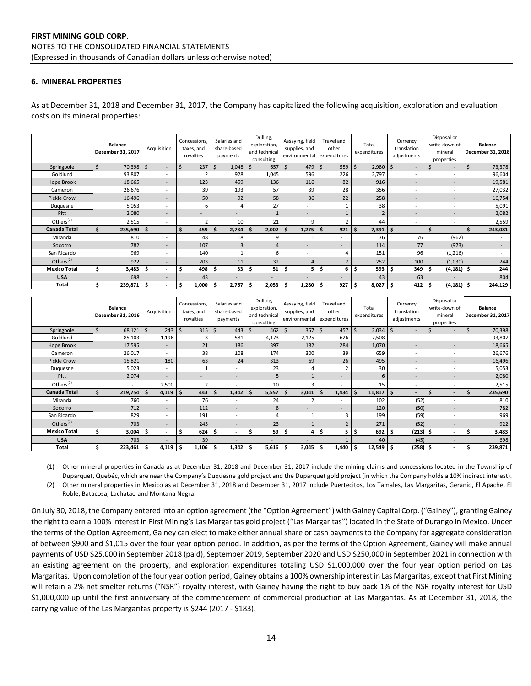### **6. MINERAL PROPERTIES**

As at December 31, 2018 and December 31, 2017, the Company has capitalized the following acquisition, exploration and evaluation costs on its mineral properties:

|                       | <b>Balance</b><br>December 31, 2017 | Acquisition                              | Concessions,<br>taxes, and<br>royalties | Salaries and<br>share-based<br>payments | Drilling,<br>exploration,<br>and technical<br>consulting | Assaying, field<br>supplies, and<br>environmental | Travel and<br>other<br>expenditures | Total<br>expenditures | Currency<br>translation<br>adjustments | Disposal or<br>write-down of<br>mineral<br>properties | <b>Balance</b><br>December 31, 2018 |
|-----------------------|-------------------------------------|------------------------------------------|-----------------------------------------|-----------------------------------------|----------------------------------------------------------|---------------------------------------------------|-------------------------------------|-----------------------|----------------------------------------|-------------------------------------------------------|-------------------------------------|
| Springpole            | \$<br>70,398                        | $\mathsf{S}$<br>$\overline{\phantom{a}}$ | 237<br>S                                | Ŝ.<br>1,048                             | Ŝ.<br>657                                                | 479<br>- \$                                       | \$<br>559                           | $\mathsf{S}$<br>2,980 | Ś<br>$\overline{\phantom{a}}$          | $\sim$                                                | 73,378                              |
| Goldlund              | 93,807                              | $\sim$                                   |                                         | 928                                     | 1,045                                                    | 596                                               | 226                                 | 2,797                 | $\overline{\phantom{0}}$               | $\overline{\phantom{a}}$                              | 96,604                              |
| Hope Brook            | 18,665                              | $\overline{\phantom{a}}$                 | 123                                     | 459                                     | 136                                                      | 116                                               | 82                                  | 916                   |                                        | $\overline{\phantom{a}}$                              | 19,581                              |
| Cameron               | 26,676                              | $\sim$                                   | 39                                      | 193                                     | 57                                                       | 39                                                | 28                                  | 356                   | $\overline{\phantom{0}}$               | $\overline{\phantom{a}}$                              | 27,032                              |
| <b>Pickle Crow</b>    | 16,496                              | $\overline{\phantom{a}}$                 | 50                                      | 92                                      | 58                                                       | 36                                                | 22                                  | 258                   | $\qquad \qquad \blacksquare$           | $\overline{\phantom{a}}$                              | 16,754                              |
| Duquesne              | 5,053                               | $\sim$                                   | 6                                       | 4                                       | 27                                                       |                                                   |                                     | 38                    |                                        | $\sim$                                                | 5,091                               |
| Pitt                  | 2,080                               | $\overline{\phantom{a}}$                 | $\overline{\phantom{a}}$                | $\overline{\phantom{a}}$                | $\mathbf{1}$                                             | ٠                                                 |                                     | $\overline{2}$        | $\overline{\phantom{a}}$               | $\overline{\phantom{a}}$                              | 2,082                               |
| Others <sup>(1)</sup> | 2,515                               | $\overline{\phantom{a}}$                 | $\mathcal{D}$                           | 10                                      | 21                                                       | 9                                                 |                                     | 44                    | $\overline{\phantom{0}}$               | $\overline{\phantom{a}}$                              | 2,559                               |
| <b>Canada Total</b>   | \$<br>235,690                       | s<br>$\sim$                              | Ś<br>459                                | 2,734                                   | 2,002                                                    | 1,275                                             | 921<br>S.                           | Ŝ.<br>7,391           | Ś                                      |                                                       | 243,081                             |
| Miranda               | 810                                 |                                          | 48                                      | 18                                      | 9                                                        |                                                   | $\sim$                              | 76                    | 76                                     | (962)                                                 | $\sim$                              |
| Socorro               | 782                                 | $\sim$                                   | 107                                     | 3                                       | $\overline{4}$                                           | ٠                                                 | $\overline{\phantom{a}}$            | 114                   | 77                                     | (973)                                                 | $\sim$                              |
| San Ricardo           | 969                                 | $\sim$                                   | 140                                     |                                         | 6                                                        |                                                   |                                     | 151                   | 96                                     | (1, 216)                                              |                                     |
| Others $^{(2)}$       | 922                                 | $\sim$                                   | 203                                     | 11                                      | 32                                                       | 4                                                 |                                     | 252                   | 100                                    | (1,030)                                               | 244                                 |
| <b>Mexico Total</b>   | \$<br>3,483                         | s<br>$\overline{\phantom{0}}$            | 498<br>\$                               | 33<br>Ŝ                                 | 51<br>S                                                  | . Ś                                               | 5\$<br>6                            | 593<br>Ŝ              | 349                                    | $(4, 181)$ \$<br>Ŝ.                                   | 244                                 |
| <b>USA</b>            | 698                                 | $\sim$                                   | 43                                      |                                         |                                                          |                                                   |                                     | 43                    | 63                                     |                                                       | 804                                 |
| Total                 | \$<br>239,871                       | s<br>$\overline{\phantom{0}}$            | Ŝ.<br>1,000                             | 2,767                                   | 2,053                                                    | 1,280                                             | 927                                 | 8,027<br>Ŝ            | 412<br>\$                              | $(4, 181)$ \$                                         | 244,129                             |

|                       | <b>Balance</b><br>December 31, 2016 | Acquisition              | Concessions,<br>taxes, and<br>royalties | Salaries and<br>share-based<br>payments | Drilling,<br>exploration,<br>and technical<br>consulting | Assaying, field<br>supplies, and<br>environmental | Travel and<br>other<br>expenditures | Total<br>expenditures | Currency<br>translation<br>adjustments | Disposal or<br>write-down of<br>mineral<br>properties | <b>Balance</b><br>December 31, 2017 |
|-----------------------|-------------------------------------|--------------------------|-----------------------------------------|-----------------------------------------|----------------------------------------------------------|---------------------------------------------------|-------------------------------------|-----------------------|----------------------------------------|-------------------------------------------------------|-------------------------------------|
| Springpole            | \$<br>68,121                        | \$<br>243                | \$<br>$315 \quad $5$                    | 443                                     | <sup>5</sup><br>$462 \quad $5$                           | 357                                               | 457<br>\$                           | \$<br>2,034           | $\overline{\phantom{a}}$               | $\overline{\phantom{a}}$                              | 70,398<br>Ś                         |
| Goldlund              | 85,103                              | 1,196                    | 3                                       | 581                                     | 4,173                                                    | 2,125                                             | 626                                 | 7,508                 |                                        | ٠                                                     | 93,807                              |
| <b>Hope Brook</b>     | 17,595                              | $\overline{\phantom{a}}$ | 21                                      | 186                                     | 397                                                      | 182                                               | 284                                 | 1,070                 |                                        | $\overline{\phantom{0}}$                              | 18,665                              |
| Cameron               | 26,017                              | $\overline{\phantom{a}}$ | 38                                      | 108                                     | 174                                                      | 300                                               | 39                                  | 659                   |                                        | ٠                                                     | 26,676                              |
| Pickle Crow           | 15,821                              | 180                      | 63                                      | 24                                      | 313                                                      | 69                                                | 26                                  | 495                   | $\overline{\phantom{a}}$               | $\overline{\phantom{a}}$                              | 16,496                              |
| Duquesne              | 5,023                               | ۰.                       |                                         |                                         | 23                                                       |                                                   |                                     | 30                    | $\overline{\phantom{a}}$               | $\overline{a}$                                        | 5,053                               |
| Pitt                  | 2,074                               | $\overline{\phantom{a}}$ | $\overline{\phantom{a}}$                | $\overline{\phantom{a}}$                | 5                                                        | $\mathbf{1}$                                      | $\overline{\phantom{a}}$            | 6                     | $\overline{\phantom{a}}$               | $\overline{\phantom{a}}$                              | 2,080                               |
| Others $(1)$          |                                     | 2,500                    | $\overline{2}$                          |                                         | 10                                                       | 3                                                 | $\sim$                              | 15                    | ٠                                      | ٠                                                     | 2,515                               |
| Canada Total          | \$<br>219,754                       | 4,119<br>Ŝ.              | -\$<br>443                              | 1,342<br>-S                             | 5,557<br>-S                                              | 3,041<br>-S                                       | 1,434<br>-S                         | 11,817<br>Ŝ.          | \$<br>۰.                               | $\blacksquare$                                        | 235,690<br>S                        |
| Miranda               | 760                                 | ٠                        | 76                                      |                                         | 24                                                       |                                                   |                                     | 102                   | (52)                                   | ٠                                                     | 810                                 |
| Socorro               | 712                                 | $\overline{\phantom{a}}$ | 112                                     |                                         | 8                                                        |                                                   | -                                   | 120                   | (50)                                   | $\overline{\phantom{a}}$                              | 782                                 |
| San Ricardo           | 829                                 | ٠                        | 191                                     | $\overline{\phantom{a}}$                | 4                                                        |                                                   | 3                                   | 199                   | (59)                                   | $\overline{a}$                                        | 969                                 |
| Others <sup>(2)</sup> | 703                                 | $\overline{\phantom{a}}$ | 245                                     | $\qquad \qquad \blacksquare$            | 23                                                       |                                                   | $\mathbf{r}$                        | 271                   | (52)                                   | $\qquad \qquad =$                                     | 922                                 |
| <b>Mexico Total</b>   | \$<br>3,004                         | $\overline{\phantom{a}}$ | \$<br>624                               | S                                       | 59                                                       | 4<br>.S                                           | 5<br>.s                             | 692<br>-\$            | $(213)$ \$                             |                                                       | 3,483                               |
| <b>USA</b>            | 703                                 | ٠                        | 39                                      |                                         |                                                          |                                                   |                                     | 40                    | (45)                                   | $\qquad \qquad =$                                     | 698                                 |
| Total                 | \$<br>$223,461$ \$                  | 4,119                    | -\$<br>1,106                            | 1,342<br>S                              | 5,616                                                    | 3,045<br>-S                                       | 1,440<br>S                          | 12,549<br>-\$         | $(258)$ \$                             |                                                       | 239,871                             |

(1) Other mineral properties in Canada as at December 31, 2018 and December 31, 2017 include the mining claims and concessions located in the Township of Duparquet, Quebéc, which are near the Company's Duquesne gold project and the Duparquet gold project (in which the Company holds a 10% indirect interest). (2) Other mineral properties in Mexico as at December 31, 2018 and December 31, 2017 include Puertecitos, Los Tamales, Las Margaritas, Geranio, El Apache, El

Roble, Batacosa, Lachatao and Montana Negra.

On July 30, 2018, the Company entered into an option agreement (the "Option Agreement") with Gainey Capital Corp. ("Gainey"), granting Gainey the right to earn a 100% interest in First Mining's Las Margaritas gold project ("Las Margaritas") located in the State of Durango in Mexico. Under the terms of the Option Agreement, Gainey can elect to make either annual share or cash payments to the Company for aggregate consideration of between \$900 and \$1,015 over the four year option period. In addition, as per the terms of the Option Agreement, Gainey will make annual payments of USD \$25,000 in September 2018 (paid), September 2019, September 2020 and USD \$250,000 in September 2021 in connection with an existing agreement on the property, and exploration expenditures totaling USD \$1,000,000 over the four year option period on Las Margaritas. Upon completion of the four year option period, Gainey obtains a 100% ownership interest in Las Margaritas, except that First Mining will retain a 2% net smelter returns ("NSR") royalty interest, with Gainey having the right to buy back 1% of the NSR royalty interest for USD \$1,000,000 up until the first anniversary of the commencement of commercial production at Las Margaritas. As at December 31, 2018, the carrying value of the Las Margaritas property is \$244 (2017 - \$183).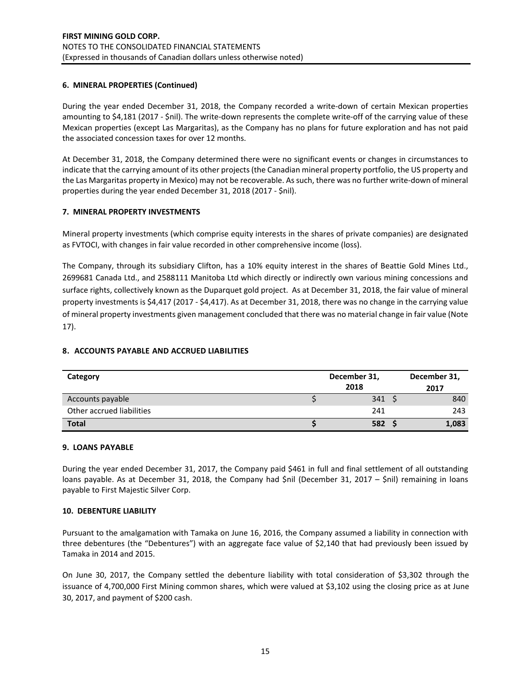## **6. MINERAL PROPERTIES (Continued)**

During the year ended December 31, 2018, the Company recorded a write-down of certain Mexican properties amounting to \$4,181 (2017 - \$nil). The write-down represents the complete write-off of the carrying value of these Mexican properties (except Las Margaritas), as the Company has no plans for future exploration and has not paid the associated concession taxes for over 12 months.

At December 31, 2018, the Company determined there were no significant events or changes in circumstances to indicate that the carrying amount of its other projects (the Canadian mineral property portfolio, the US property and the Las Margaritas property in Mexico) may not be recoverable. As such, there was no further write-down of mineral properties during the year ended December 31, 2018 (2017 ‐ \$nil).

#### **7. MINERAL PROPERTY INVESTMENTS**

Mineral property investments (which comprise equity interests in the shares of private companies) are designated as FVTOCI, with changes in fair value recorded in other comprehensive income (loss).

The Company, through its subsidiary Clifton, has a 10% equity interest in the shares of Beattie Gold Mines Ltd., 2699681 Canada Ltd., and 2588111 Manitoba Ltd which directly or indirectly own various mining concessions and surface rights, collectively known as the Duparquet gold project. As at December 31, 2018, the fair value of mineral property investments is \$4,417 (2017 ‐ \$4,417). As at December 31, 2018, there was no change in the carrying value of mineral property investments given management concluded that there was no material change in fair value (Note 17).

## **8. ACCOUNTS PAYABLE AND ACCRUED LIABILITIES**

| Category                  | December 31,<br>2018 | December 31,<br>2017 |
|---------------------------|----------------------|----------------------|
| Accounts payable          | 341S                 | 840                  |
| Other accrued liabilities | 241                  | 243                  |
| <b>Total</b>              | 582                  | 1,083                |

#### **9. LOANS PAYABLE**

During the year ended December 31, 2017, the Company paid \$461 in full and final settlement of all outstanding loans payable. As at December 31, 2018, the Company had \$nil (December 31, 2017 – \$nil) remaining in loans payable to First Majestic Silver Corp.

#### **10. DEBENTURE LIABILITY**

Pursuant to the amalgamation with Tamaka on June 16, 2016, the Company assumed a liability in connection with three debentures (the "Debentures") with an aggregate face value of \$2,140 that had previously been issued by Tamaka in 2014 and 2015.

On June 30, 2017, the Company settled the debenture liability with total consideration of \$3,302 through the issuance of 4,700,000 First Mining common shares, which were valued at \$3,102 using the closing price as at June 30, 2017, and payment of \$200 cash.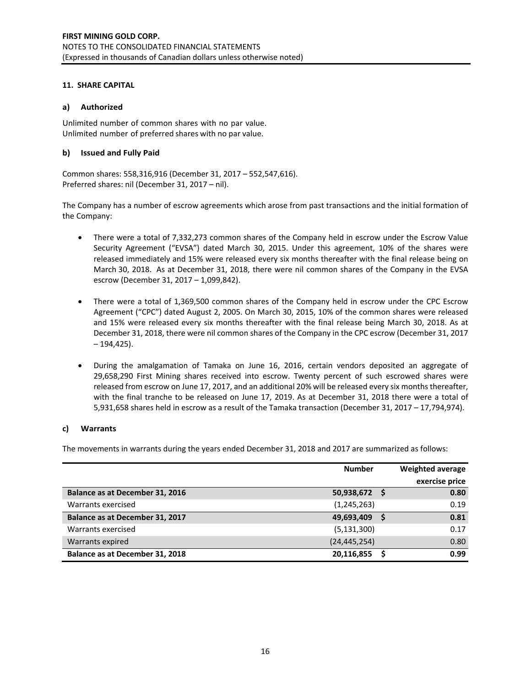#### **11. SHARE CAPITAL**

## **a) Authorized**

Unlimited number of common shares with no par value. Unlimited number of preferred shares with no par value.

## **b) Issued and Fully Paid**

Common shares: 558,316,916 (December 31, 2017 – 552,547,616). Preferred shares: nil (December 31, 2017 – nil).

The Company has a number of escrow agreements which arose from past transactions and the initial formation of the Company:

- There were a total of 7,332,273 common shares of the Company held in escrow under the Escrow Value Security Agreement ("EVSA") dated March 30, 2015. Under this agreement, 10% of the shares were released immediately and 15% were released every six months thereafter with the final release being on March 30, 2018. As at December 31, 2018, there were nil common shares of the Company in the EVSA escrow (December 31, 2017 – 1,099,842).
- There were a total of 1,369,500 common shares of the Company held in escrow under the CPC Escrow Agreement ("CPC") dated August 2, 2005. On March 30, 2015, 10% of the common shares were released and 15% were released every six months thereafter with the final release being March 30, 2018. As at December 31, 2018, there were nil common shares of the Company in the CPC escrow (December 31, 2017  $-194,425$ ).
- During the amalgamation of Tamaka on June 16, 2016, certain vendors deposited an aggregate of 29,658,290 First Mining shares received into escrow. Twenty percent of such escrowed shares were released from escrow on June 17, 2017, and an additional 20% will be released every six months thereafter, with the final tranche to be released on June 17, 2019. As at December 31, 2018 there were a total of 5,931,658 shares held in escrow as a result of the Tamaka transaction (December 31, 2017 – 17,794,974).

#### **c) Warrants**

The movements in warrants during the years ended December 31, 2018 and 2017 are summarized as follows:

|                                 | <b>Number</b>  | <b>Weighted average</b> |
|---------------------------------|----------------|-------------------------|
|                                 |                | exercise price          |
| Balance as at December 31, 2016 | 50,938,672 \$  | 0.80                    |
| Warrants exercised              | (1, 245, 263)  | 0.19                    |
| Balance as at December 31, 2017 | 49,693,409     | 0.81                    |
| Warrants exercised              | (5, 131, 300)  | 0.17                    |
| Warrants expired                | (24, 445, 254) | 0.80                    |
| Balance as at December 31, 2018 | 20,116,855     | 0.99                    |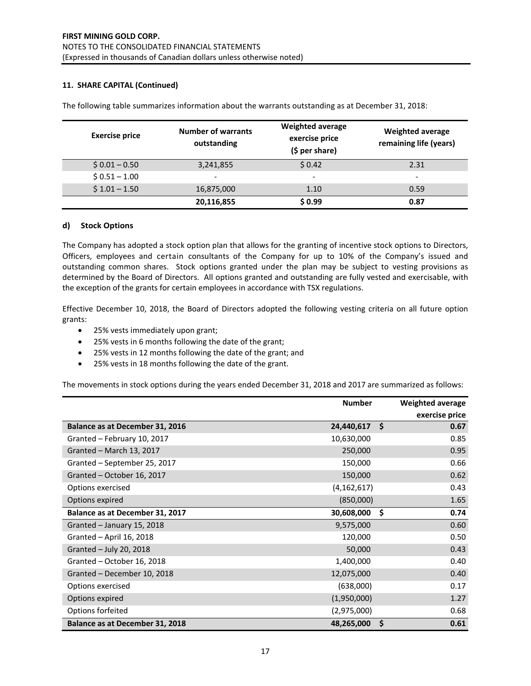## **11. SHARE CAPITAL (Continued)**

| <b>Exercise price</b> | <b>Number of warrants</b><br>outstanding | <b>Weighted average</b><br>exercise price<br>$(5 per share)$ | <b>Weighted average</b><br>remaining life (years) |
|-----------------------|------------------------------------------|--------------------------------------------------------------|---------------------------------------------------|
| $$0.01 - 0.50$        | 3,241,855                                | \$0.42                                                       | 2.31                                              |
| $$0.51 - 1.00$        | $\overline{\phantom{0}}$                 | $\overline{\phantom{a}}$                                     | -                                                 |
| $$1.01 - 1.50$        | 16,875,000                               | 1.10                                                         | 0.59                                              |
|                       | 20,116,855                               | \$0.99                                                       | 0.87                                              |

The following table summarizes information about the warrants outstanding as at December 31, 2018:

#### **d) Stock Options**

The Company has adopted a stock option plan that allows for the granting of incentive stock options to Directors, Officers, employees and certain consultants of the Company for up to 10% of the Company's issued and outstanding common shares. Stock options granted under the plan may be subject to vesting provisions as determined by the Board of Directors. All options granted and outstanding are fully vested and exercisable, with the exception of the grants for certain employees in accordance with TSX regulations.

Effective December 10, 2018, the Board of Directors adopted the following vesting criteria on all future option grants:

- 25% vests immediately upon grant;
- 25% vests in 6 months following the date of the grant;
- 25% vests in 12 months following the date of the grant; and
- 25% vests in 18 months following the date of the grant.

The movements in stock options during the years ended December 31, 2018 and 2017 are summarized as follows:

|                                 | <b>Number</b> |    | Weighted average |
|---------------------------------|---------------|----|------------------|
|                                 |               |    | exercise price   |
| Balance as at December 31, 2016 | 24,440,617    | \$ | 0.67             |
| Granted - February 10, 2017     | 10,630,000    |    | 0.85             |
| Granted - March 13, 2017        | 250,000       |    | 0.95             |
| Granted - September 25, 2017    | 150,000       |    | 0.66             |
| Granted - October 16, 2017      | 150,000       |    | 0.62             |
| Options exercised               | (4, 162, 617) |    | 0.43             |
| Options expired                 | (850,000)     |    | 1.65             |
| Balance as at December 31, 2017 | 30,608,000    | Ŝ. | 0.74             |
| Granted - January 15, 2018      | 9,575,000     |    | 0.60             |
| Granted - April 16, 2018        | 120,000       |    | 0.50             |
| Granted - July 20, 2018         | 50,000        |    | 0.43             |
| Granted - October 16, 2018      | 1,400,000     |    | 0.40             |
| Granted - December 10, 2018     | 12,075,000    |    | 0.40             |
| Options exercised               | (638,000)     |    | 0.17             |
| Options expired                 | (1,950,000)   |    | 1.27             |
| Options forfeited               | (2,975,000)   |    | 0.68             |
| Balance as at December 31, 2018 | 48,265,000    | Ŝ  | 0.61             |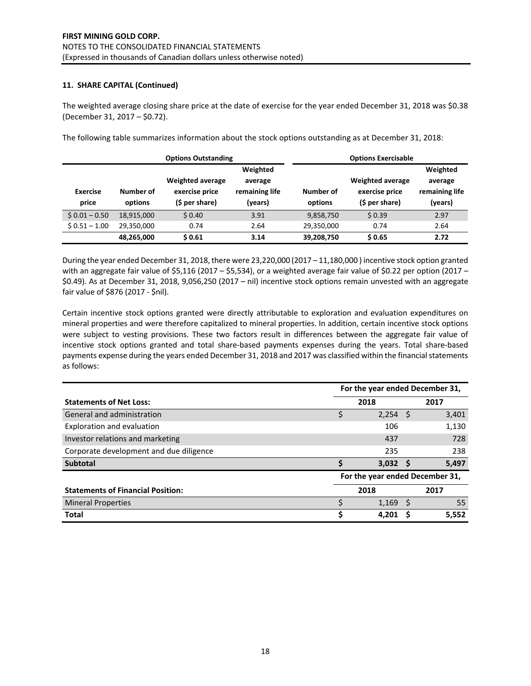## **11. SHARE CAPITAL (Continued)**

The weighted average closing share price at the date of exercise for the year ended December 31, 2018 was \$0.38 (December 31, 2017 – \$0.72).

The following table summarizes information about the stock options outstanding as at December 31, 2018:

|                          |                      | <b>Options Outstanding</b>                                  |                                                  |                      | <b>Options Exercisable</b>                                   |                                                  |
|--------------------------|----------------------|-------------------------------------------------------------|--------------------------------------------------|----------------------|--------------------------------------------------------------|--------------------------------------------------|
| <b>Exercise</b><br>price | Number of<br>options | <b>Weighted average</b><br>exercise price<br>(\$ per share) | Weighted<br>average<br>remaining life<br>(years) | Number of<br>options | <b>Weighted average</b><br>exercise price<br>$(5$ per share) | Weighted<br>average<br>remaining life<br>(years) |
| $$0.01 - 0.50$           | 18.915.000           | \$0.40                                                      | 3.91                                             | 9,858,750            | \$0.39                                                       | 2.97                                             |
| $$0.51 - 1.00$           | 29,350,000           | 0.74                                                        | 2.64                                             | 29,350,000           | 0.74                                                         | 2.64                                             |
|                          | 48,265,000           | \$0.61                                                      | 3.14                                             | 39,208,750           | \$0.65                                                       | 2.72                                             |

During the year ended December 31, 2018, there were 23,220,000 (2017 – 11,180,000 ) incentive stock option granted with an aggregate fair value of \$5,116 (2017 – \$5,534), or a weighted average fair value of \$0.22 per option (2017 – \$0.49). As at December 31, 2018, 9,056,250 (2017 – nil) incentive stock options remain unvested with an aggregate fair value of \$876 (2017 ‐ \$nil).

Certain incentive stock options granted were directly attributable to exploration and evaluation expenditures on mineral properties and were therefore capitalized to mineral properties. In addition, certain incentive stock options were subject to vesting provisions. These two factors result in differences between the aggregate fair value of incentive stock options granted and total share-based payments expenses during the years. Total share-based payments expense during the years ended December 31, 2018 and 2017 was classified within the financial statements as follows:

|                                          | For the year ended December 31, |                                 |              |       |  |  |  |
|------------------------------------------|---------------------------------|---------------------------------|--------------|-------|--|--|--|
| <b>Statements of Net Loss:</b>           |                                 | 2018<br>2017                    |              |       |  |  |  |
| General and administration               |                                 | 2,254                           | -S           | 3,401 |  |  |  |
| Exploration and evaluation               |                                 | 106                             |              | 1,130 |  |  |  |
| Investor relations and marketing         |                                 | 437                             |              | 728   |  |  |  |
| Corporate development and due diligence  |                                 | 235                             |              | 238   |  |  |  |
| <b>Subtotal</b>                          |                                 | 3,032                           | - S          | 5,497 |  |  |  |
|                                          |                                 | For the year ended December 31, |              |       |  |  |  |
| <b>Statements of Financial Position:</b> |                                 | 2018                            |              | 2017  |  |  |  |
| <b>Mineral Properties</b>                |                                 | 1.169                           | <sub>S</sub> | 55    |  |  |  |
| <b>Total</b>                             | Ś                               | 4.201                           |              | 5,552 |  |  |  |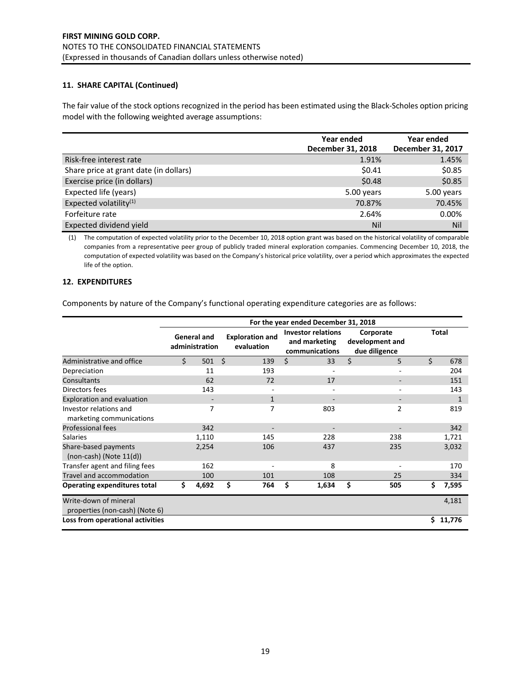#### **11. SHARE CAPITAL (Continued)**

The fair value of the stock options recognized in the period has been estimated using the Black‐Scholes option pricing model with the following weighted average assumptions:

|                                        | Year ended<br>December 31, 2018 | Year ended<br>December 31, 2017 |
|----------------------------------------|---------------------------------|---------------------------------|
| Risk-free interest rate                | 1.91%                           | 1.45%                           |
| Share price at grant date (in dollars) | \$0.41                          | \$0.85                          |
| Exercise price (in dollars)            | \$0.48                          | \$0.85                          |
| Expected life (years)                  | 5.00 years                      | 5.00 years                      |
| Expected volatility <sup>(1)</sup>     | 70.87%                          | 70.45%                          |
| Forfeiture rate                        | 2.64%                           | 0.00%                           |
| Expected dividend yield                | Nil                             | Nil                             |

(1) The computation of expected volatility prior to the December 10, 2018 option grant was based on the historical volatility of comparable companies from a representative peer group of publicly traded mineral exploration companies. Commencing December 10, 2018, the computation of expected volatility was based on the Company's historical price volatility, over a period which approximates the expected life of the option.

## **12. EXPENDITURES**

Components by nature of the Company's functional operating expenditure categories are as follows:

|                                                         | For the year ended December 31, 2018 |                                      |    |                                      |                                                              |    |                                               |    |              |  |  |
|---------------------------------------------------------|--------------------------------------|--------------------------------------|----|--------------------------------------|--------------------------------------------------------------|----|-----------------------------------------------|----|--------------|--|--|
|                                                         |                                      | <b>General and</b><br>administration |    | <b>Exploration and</b><br>evaluation | <b>Investor relations</b><br>and marketing<br>communications |    | Corporate<br>development and<br>due diligence |    | Total        |  |  |
| Administrative and office                               | Ś.                                   | 501                                  | S. | 139                                  | Ś.<br>33                                                     | \$ | 5                                             | Ś. | 678          |  |  |
| Depreciation                                            |                                      | 11                                   |    | 193                                  | ٠                                                            |    | ۰                                             |    | 204          |  |  |
| Consultants                                             |                                      | 62                                   |    | 72                                   | 17                                                           |    |                                               |    | 151          |  |  |
| Directors fees                                          |                                      | 143                                  |    |                                      |                                                              |    |                                               |    | 143          |  |  |
| Exploration and evaluation                              |                                      |                                      |    | $\mathbf{1}$                         | -                                                            |    | -                                             |    | $\mathbf{1}$ |  |  |
| Investor relations and<br>marketing communications      |                                      | 7                                    |    | 7                                    | 803                                                          |    | 2                                             |    | 819          |  |  |
| <b>Professional fees</b>                                |                                      | 342                                  |    |                                      | $\overline{\phantom{a}}$                                     |    | $\overline{\phantom{a}}$                      |    | 342          |  |  |
| <b>Salaries</b>                                         |                                      | 1,110                                |    | 145                                  | 228                                                          |    | 238                                           |    | 1,721        |  |  |
| Share-based payments<br>$(non-cash)$ (Note $11(d)$ )    |                                      | 2,254                                |    | 106                                  | 437                                                          |    | 235                                           |    | 3,032        |  |  |
| Transfer agent and filing fees                          |                                      | 162                                  |    | $\overline{\phantom{0}}$             | 8                                                            |    | $\overline{\phantom{a}}$                      |    | 170          |  |  |
| Travel and accommodation                                |                                      | 100                                  |    | 101                                  | 108                                                          |    | 25                                            |    | 334          |  |  |
| <b>Operating expenditures total</b>                     | \$                                   | 4,692                                | \$ | 764                                  | Ś<br>1,634                                                   | Ś  | 505                                           | \$ | 7,595        |  |  |
| Write-down of mineral<br>properties (non-cash) (Note 6) |                                      |                                      |    |                                      |                                                              |    |                                               |    | 4,181        |  |  |
| Loss from operational activities                        |                                      |                                      |    |                                      |                                                              |    |                                               |    | \$11,776     |  |  |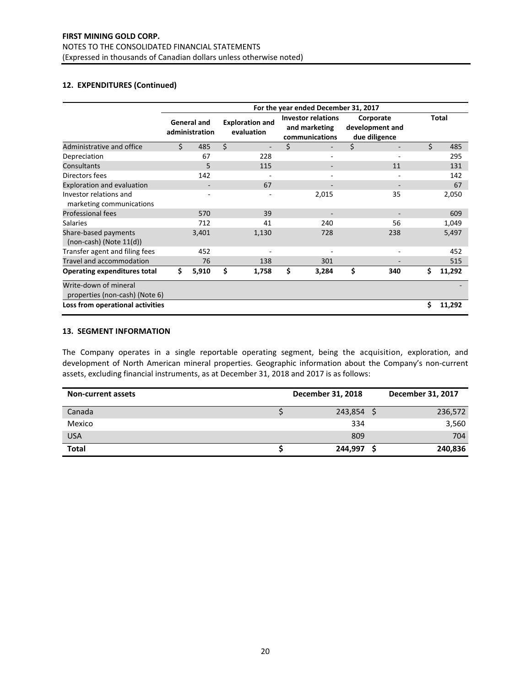## **12. EXPENDITURES (Continued)**

|                                                         |    | For the year ended December 31, 2017 |    |                                      |    |                                                              |    |                                               |       |        |  |  |
|---------------------------------------------------------|----|--------------------------------------|----|--------------------------------------|----|--------------------------------------------------------------|----|-----------------------------------------------|-------|--------|--|--|
|                                                         |    | <b>General and</b><br>administration |    | <b>Exploration and</b><br>evaluation |    | <b>Investor relations</b><br>and marketing<br>communications |    | Corporate<br>development and<br>due diligence | Total |        |  |  |
| Administrative and office                               | Ś. | 485                                  | Ś. | $\overline{\phantom{a}}$             | \$ | $\overline{\phantom{a}}$                                     | \$ | $\overline{\phantom{a}}$                      | Ś.    | 485    |  |  |
| Depreciation                                            |    | 67                                   |    | 228                                  |    | ٠                                                            |    |                                               |       | 295    |  |  |
| Consultants                                             |    | 5                                    |    | 115                                  |    |                                                              |    | 11                                            |       | 131    |  |  |
| Directors fees                                          |    | 142                                  |    |                                      |    |                                                              |    |                                               |       | 142    |  |  |
| Exploration and evaluation                              |    |                                      |    | 67                                   |    |                                                              |    |                                               |       | 67     |  |  |
| Investor relations and<br>marketing communications      |    |                                      |    |                                      |    | 2,015                                                        |    | 35                                            |       | 2,050  |  |  |
| <b>Professional fees</b>                                |    | 570                                  |    | 39                                   |    |                                                              |    |                                               |       | 609    |  |  |
| <b>Salaries</b>                                         |    | 712                                  |    | 41                                   |    | 240                                                          |    | 56                                            |       | 1,049  |  |  |
| Share-based payments<br>$(non-cash)$ (Note $11(d)$ )    |    | 3,401                                |    | 1,130                                |    | 728                                                          |    | 238                                           |       | 5,497  |  |  |
| Transfer agent and filing fees                          |    | 452                                  |    |                                      |    |                                                              |    |                                               |       | 452    |  |  |
| Travel and accommodation                                |    | 76                                   |    | 138                                  |    | 301                                                          |    |                                               |       | 515    |  |  |
| <b>Operating expenditures total</b>                     | \$ | 5,910                                | \$ | 1,758                                | \$ | 3,284                                                        | \$ | 340                                           | \$    | 11,292 |  |  |
| Write-down of mineral<br>properties (non-cash) (Note 6) |    |                                      |    |                                      |    |                                                              |    |                                               |       |        |  |  |
| Loss from operational activities                        |    |                                      |    |                                      |    |                                                              |    |                                               | Ś     | 11,292 |  |  |

#### **13. SEGMENT INFORMATION**

The Company operates in a single reportable operating segment, being the acquisition, exploration, and development of North American mineral properties. Geographic information about the Company's non-current assets, excluding financial instruments, as at December 31, 2018 and 2017 is as follows:

| <b>Non-current assets</b> | December 31, 2018 | December 31, 2017 |
|---------------------------|-------------------|-------------------|
| Canada                    | 243,854           | 236,572           |
| Mexico                    | 334               | 3,560             |
| <b>USA</b>                | 809               | 704               |
| <b>Total</b>              | 244,997           | 240,836           |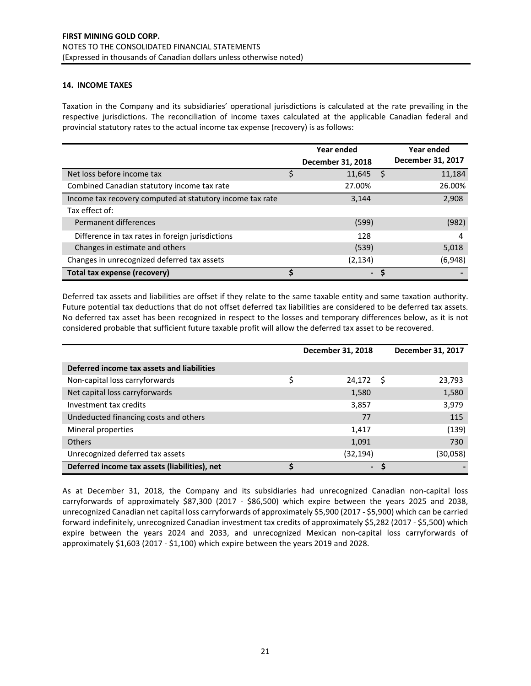## **14. INCOME TAXES**

Taxation in the Company and its subsidiaries' operational jurisdictions is calculated at the rate prevailing in the respective jurisdictions. The reconciliation of income taxes calculated at the applicable Canadian federal and provincial statutory rates to the actual income tax expense (recovery) is as follows:

|                                                           |   | Year ended        | Year ended        |
|-----------------------------------------------------------|---|-------------------|-------------------|
|                                                           |   | December 31, 2018 | December 31, 2017 |
| Net loss before income tax                                |   | 11,645            | 11,184            |
| Combined Canadian statutory income tax rate               |   | 27.00%            | 26.00%            |
| Income tax recovery computed at statutory income tax rate |   | 3,144             | 2,908             |
| Tax effect of:                                            |   |                   |                   |
| Permanent differences                                     |   | (599)             | (982)             |
| Difference in tax rates in foreign jurisdictions          |   | 128               | 4                 |
| Changes in estimate and others                            |   | (539)             | 5,018             |
| Changes in unrecognized deferred tax assets               |   | (2, 134)          | (6,948)           |
| Total tax expense (recovery)                              | S | $\blacksquare$    |                   |

Deferred tax assets and liabilities are offset if they relate to the same taxable entity and same taxation authority. Future potential tax deductions that do not offset deferred tax liabilities are considered to be deferred tax assets. No deferred tax asset has been recognized in respect to the losses and temporary differences below, as it is not considered probable that sufficient future taxable profit will allow the deferred tax asset to be recovered.

|                                               | December 31, 2018 | December 31, 2017 |
|-----------------------------------------------|-------------------|-------------------|
| Deferred income tax assets and liabilities    |                   |                   |
| Non-capital loss carryforwards                | \$<br>24,172      | 23,793<br>-S      |
| Net capital loss carryforwards                | 1,580             | 1,580             |
| Investment tax credits                        | 3,857             | 3,979             |
| Undeducted financing costs and others         | 77                | 115               |
| Mineral properties                            | 1,417             | (139)             |
| Others                                        | 1,091             | 730               |
| Unrecognized deferred tax assets              | (32, 194)         | (30,058)          |
| Deferred income tax assets (liabilities), net | $\blacksquare$    |                   |

As at December 31, 2018, the Company and its subsidiaries had unrecognized Canadian non‐capital loss carryforwards of approximately \$87,300 (2017 - \$86,500) which expire between the years 2025 and 2038, unrecognized Canadian net capital loss carryforwards of approximately \$5,900 (2017 ‐ \$5,900) which can be carried forward indefinitely, unrecognized Canadian investment tax credits of approximately \$5,282 (2017 ‐ \$5,500) which expire between the years 2024 and 2033, and unrecognized Mexican non‐capital loss carryforwards of approximately \$1,603 (2017 ‐ \$1,100) which expire between the years 2019 and 2028.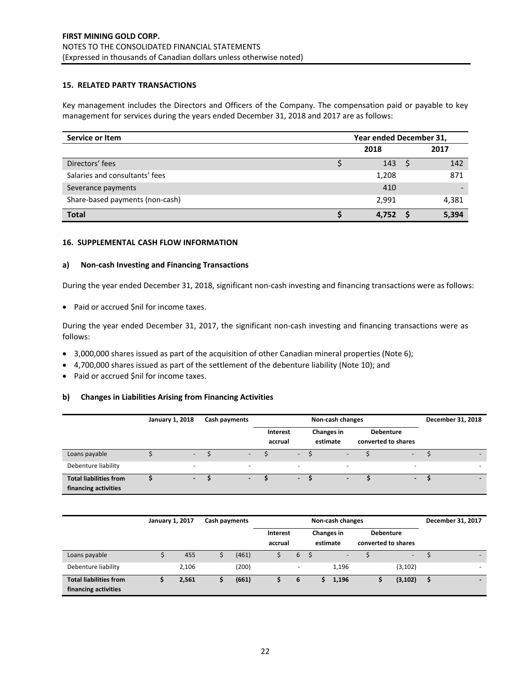#### **15. RELATED PARTY TRANSACTIONS**

Key management includes the Directors and Officers of the Company. The compensation paid or payable to key management for services during the years ended December 31, 2018 and 2017 are as follows:

| Service or Item                 | Year ended December 31, |  |       |  |  |  |
|---------------------------------|-------------------------|--|-------|--|--|--|
|                                 | 2018                    |  | 2017  |  |  |  |
| Directors' fees                 | 143                     |  | 142   |  |  |  |
| Salaries and consultants' fees  | 1,208                   |  | 871   |  |  |  |
| Severance payments              | 410                     |  |       |  |  |  |
| Share-based payments (non-cash) | 2,991                   |  | 4,381 |  |  |  |
| <b>Total</b>                    | 4.752                   |  | 5,394 |  |  |  |

#### **16. SUPPLEMENTAL CASH FLOW INFORMATION**

#### **a) Non‐cash Investing and Financing Transactions**

During the year ended December 31, 2018, significant non-cash investing and financing transactions were as follows:

Paid or accrued \$nil for income taxes.

During the year ended December 31, 2017, the significant non-cash investing and financing transactions were as follows:

- 3,000,000 shares issued as part of the acquisition of other Canadian mineral properties (Note 6);
- 4,700,000 shares issued as part of the settlement of the debenture liability (Note 10); and
- Paid or accrued \$nil for income taxes.

#### **b) Changes in Liabilities Arising from Financing Activities**

|                               | January 1, 2018          | Cash payments |                          | Non-cash changes    |        |                               |                          |                                         | December 31, 2018        |  |
|-------------------------------|--------------------------|---------------|--------------------------|---------------------|--------|-------------------------------|--------------------------|-----------------------------------------|--------------------------|--|
|                               |                          |               |                          | Interest<br>accrual |        | <b>Changes in</b><br>estimate |                          | <b>Debenture</b><br>converted to shares |                          |  |
| Loans payable                 | $\overline{\phantom{0}}$ |               | $\overline{\phantom{a}}$ |                     | $\sim$ |                               | $\overline{\phantom{0}}$ |                                         | $-$                      |  |
| Debenture liability           | $\overline{\phantom{0}}$ |               | <b>-</b>                 |                     |        |                               | $\overline{\phantom{0}}$ |                                         |                          |  |
| <b>Total liabilities from</b> | $\blacksquare$           |               | $\blacksquare$           |                     | $\sim$ |                               | $\blacksquare$           |                                         | $\overline{\phantom{0}}$ |  |
| financing activities          |                          |               |                          |                     |        |                               |                          |                                         |                          |  |

|                                                       | January 1, 2017 |       | Cash payments |       |                     | December 31, 2017        |                               |  |                                         |                          |                          |
|-------------------------------------------------------|-----------------|-------|---------------|-------|---------------------|--------------------------|-------------------------------|--|-----------------------------------------|--------------------------|--------------------------|
|                                                       |                 |       |               |       | Interest<br>accrual |                          | <b>Changes in</b><br>estimate |  | <b>Debenture</b><br>converted to shares |                          |                          |
| Loans payable                                         |                 | 455   |               | (461) |                     | 6                        | - \$                          |  | $-$                                     | $\overline{\phantom{a}}$ |                          |
| Debenture liability                                   |                 | 2,106 |               | (200) |                     | $\overline{\phantom{0}}$ |                               |  | 1,196                                   | (3, 102)                 | $\overline{\phantom{0}}$ |
| <b>Total liabilities from</b><br>financing activities |                 | 2,561 |               | (661) |                     | 6                        |                               |  | 1,196                                   | (3, 102)                 | $\overline{\phantom{0}}$ |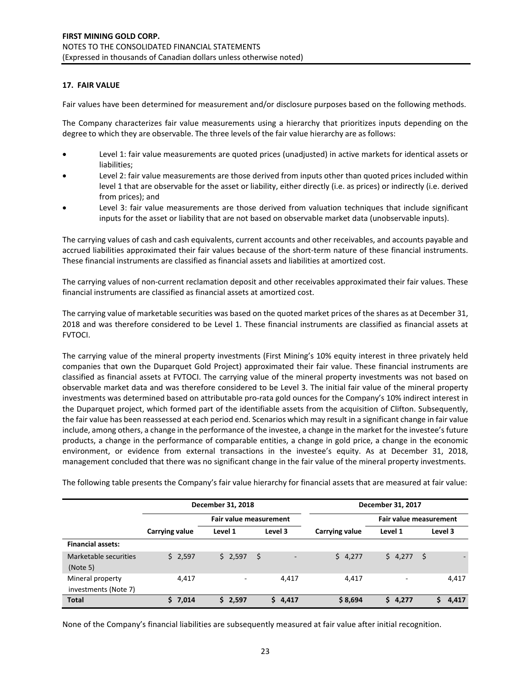## **17. FAIR VALUE**

Fair values have been determined for measurement and/or disclosure purposes based on the following methods.

The Company characterizes fair value measurements using a hierarchy that prioritizes inputs depending on the degree to which they are observable. The three levels of the fair value hierarchy are as follows:

- Level 1: fair value measurements are quoted prices (unadjusted) in active markets for identical assets or liabilities;
- Level 2: fair value measurements are those derived from inputs other than quoted prices included within level 1 that are observable for the asset or liability, either directly (i.e. as prices) or indirectly (i.e. derived from prices); and
- Level 3: fair value measurements are those derived from valuation techniques that include significant inputs for the asset or liability that are not based on observable market data (unobservable inputs).

The carrying values of cash and cash equivalents, current accounts and other receivables, and accounts payable and accrued liabilities approximated their fair values because of the short-term nature of these financial instruments. These financial instruments are classified as financial assets and liabilities at amortized cost.

The carrying values of non-current reclamation deposit and other receivables approximated their fair values. These financial instruments are classified as financial assets at amortized cost.

The carrying value of marketable securities was based on the quoted market prices of the shares as at December 31, 2018 and was therefore considered to be Level 1. These financial instruments are classified as financial assets at FVTOCI.

The carrying value of the mineral property investments (First Mining's 10% equity interest in three privately held companies that own the Duparquet Gold Project) approximated their fair value. These financial instruments are classified as financial assets at FVTOCI. The carrying value of the mineral property investments was not based on observable market data and was therefore considered to be Level 3. The initial fair value of the mineral property investments was determined based on attributable pro‐rata gold ounces for the Company's 10% indirect interest in the Duparquet project, which formed part of the identifiable assets from the acquisition of Clifton. Subsequently, the fair value has been reassessed at each period end. Scenarios which may result in a significant change in fair value include, among others, a change in the performance of the investee, a change in the market for the investee's future products, a change in the performance of comparable entities, a change in gold price, a change in the economic environment, or evidence from external transactions in the investee's equity. As at December 31, 2018, management concluded that there was no significant change in the fair value of the mineral property investments.

|                                          |                | December 31, 2018 |                                  | December 31, 2017 |                        |         |  |  |  |  |
|------------------------------------------|----------------|-------------------|----------------------------------|-------------------|------------------------|---------|--|--|--|--|
|                                          |                |                   | <b>Fair value measurement</b>    |                   | Fair value measurement |         |  |  |  |  |
|                                          | Carrying value | Level 1           | Level 3                          | Carrying value    | Level 1                | Level 3 |  |  |  |  |
| <b>Financial assets:</b>                 |                |                   |                                  |                   |                        |         |  |  |  |  |
| Marketable securities<br>(Note 5)        | \$2,597        | \$2,597           | - \$<br>$\overline{\phantom{a}}$ | 54,277            | \$4,277                | -Ś      |  |  |  |  |
| Mineral property<br>investments (Note 7) | 4,417          |                   | 4.417                            | 4,417             | -                      | 4,417   |  |  |  |  |
| <b>Total</b>                             | \$7,014        | \$2,597           | \$4,417                          | \$8,694           | \$4,277                | 4,417   |  |  |  |  |

The following table presents the Company's fair value hierarchy for financial assets that are measured at fair value:

None of the Company's financial liabilities are subsequently measured at fair value after initial recognition.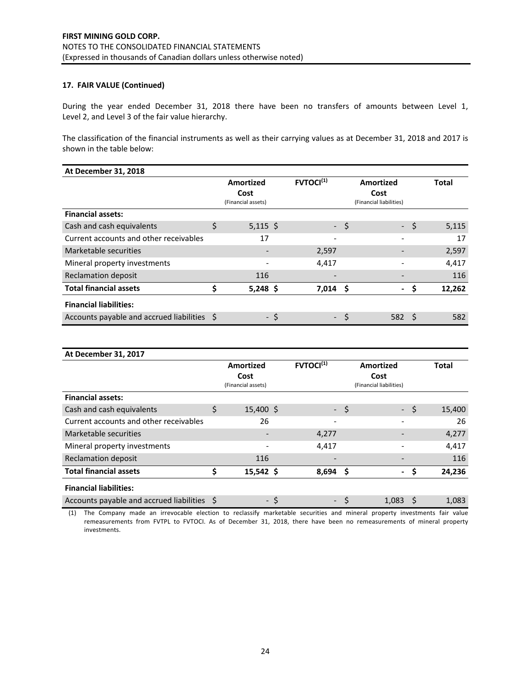## **17. FAIR VALUE (Continued)**

During the year ended December 31, 2018 there have been no transfers of amounts between Level 1, Level 2, and Level 3 of the fair value hierarchy.

The classification of the financial instruments as well as their carrying values as at December 31, 2018 and 2017 is shown in the table below:

| At December 31, 2018                        |           |                    |  |                  |        |                         |      |              |
|---------------------------------------------|-----------|--------------------|--|------------------|--------|-------------------------|------|--------------|
|                                             | Amortized |                    |  | <b>FVTOCI(1)</b> |        | Amortized               |      | <b>Total</b> |
|                                             |           | Cost               |  |                  |        | Cost                    |      |              |
|                                             |           | (Financial assets) |  |                  |        | (Financial liabilities) |      |              |
| <b>Financial assets:</b>                    |           |                    |  |                  |        |                         |      |              |
| Cash and cash equivalents                   | \$        | $5,115$ \$         |  |                  | $-$ \$ |                         | - \$ | 5,115        |
| Current accounts and other receivables      |           | 17                 |  |                  |        |                         |      | 17           |
| Marketable securities                       |           |                    |  | 2,597            |        |                         |      | 2,597        |
| Mineral property investments                |           |                    |  | 4,417            |        |                         |      | 4,417        |
| Reclamation deposit                         |           | 116                |  |                  |        |                         |      | 116          |
| <b>Total financial assets</b>               | Ś         | $5,248$ \$         |  | $7,014$ \$       |        | $\blacksquare$          | S    | 12,262       |
| <b>Financial liabilities:</b>               |           |                    |  |                  |        |                         |      |              |
| Accounts payable and accrued liabilities \$ |           | - \$               |  |                  | - \$   | 582                     | - S  | 582          |

| At December 31, 2017                        |                                         |             |      |                          |           |                                 |    |              |
|---------------------------------------------|-----------------------------------------|-------------|------|--------------------------|-----------|---------------------------------|----|--------------|
|                                             | Amortized<br>Cost<br>(Financial assets) |             |      | FVTOCI <sup>(1)</sup>    | Amortized |                                 |    | <b>Total</b> |
|                                             |                                         |             |      |                          |           | Cost<br>(Financial liabilities) |    |              |
| <b>Financial assets:</b>                    |                                         |             |      |                          |           |                                 |    |              |
| Cash and cash equivalents                   | \$                                      | $15,400$ \$ |      |                          | $-5$      | $\bullet$                       | \$ | 15,400       |
| Current accounts and other receivables      |                                         | 26          |      | $\overline{\phantom{0}}$ |           | $\overline{\phantom{a}}$        |    | 26           |
| Marketable securities                       |                                         |             |      | 4,277                    |           |                                 |    | 4,277        |
| Mineral property investments                |                                         |             |      | 4,417                    |           |                                 |    | 4,417        |
| <b>Reclamation deposit</b>                  |                                         | 116         |      |                          |           |                                 |    | 116          |
| <b>Total financial assets</b>               | Ś                                       | $15,542$ \$ |      | $8,694$ \$               |           | $\blacksquare$                  | S  | 24,236       |
| <b>Financial liabilities:</b>               |                                         |             |      |                          |           |                                 |    |              |
| Accounts payable and accrued liabilities \$ |                                         |             | - \$ | ۰,                       | \$        | 1,083                           |    | 1,083        |

(1) The Company made an irrevocable election to reclassify marketable securities and mineral property investments fair value remeasurements from FVTPL to FVTOCI. As of December 31, 2018, there have been no remeasurements of mineral property investments.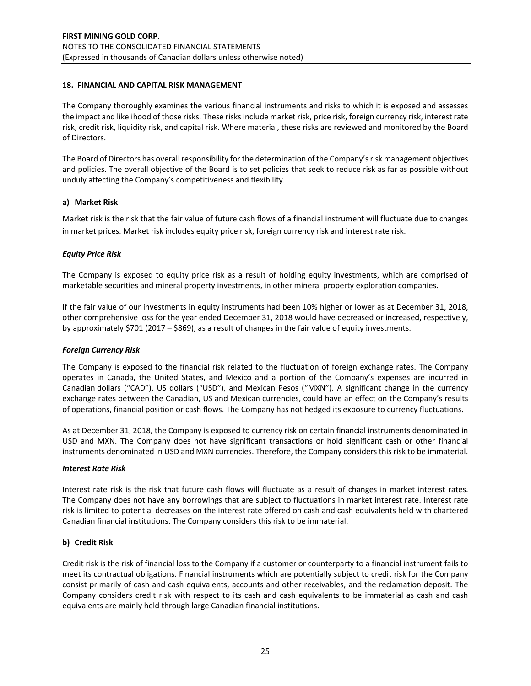#### **18. FINANCIAL AND CAPITAL RISK MANAGEMENT**

The Company thoroughly examines the various financial instruments and risks to which it is exposed and assesses the impact and likelihood of those risks. These risks include market risk, price risk, foreign currency risk, interest rate risk, credit risk, liquidity risk, and capital risk. Where material, these risks are reviewed and monitored by the Board of Directors.

The Board of Directors has overall responsibility for the determination of the Company's risk management objectives and policies. The overall objective of the Board is to set policies that seek to reduce risk as far as possible without unduly affecting the Company's competitiveness and flexibility.

#### **a) Market Risk**

Market risk is the risk that the fair value of future cash flows of a financial instrument will fluctuate due to changes in market prices. Market risk includes equity price risk, foreign currency risk and interest rate risk.

#### *Equity Price Risk*

The Company is exposed to equity price risk as a result of holding equity investments, which are comprised of marketable securities and mineral property investments, in other mineral property exploration companies.

If the fair value of our investments in equity instruments had been 10% higher or lower as at December 31, 2018, other comprehensive loss for the year ended December 31, 2018 would have decreased or increased, respectively, by approximately \$701 (2017 – \$869), as a result of changes in the fair value of equity investments.

#### *Foreign Currency Risk*

The Company is exposed to the financial risk related to the fluctuation of foreign exchange rates. The Company operates in Canada, the United States, and Mexico and a portion of the Company's expenses are incurred in Canadian dollars ("CAD"), US dollars ("USD"), and Mexican Pesos ("MXN"). A significant change in the currency exchange rates between the Canadian, US and Mexican currencies, could have an effect on the Company's results of operations, financial position or cash flows. The Company has not hedged its exposure to currency fluctuations.

As at December 31, 2018, the Company is exposed to currency risk on certain financial instruments denominated in USD and MXN. The Company does not have significant transactions or hold significant cash or other financial instruments denominated in USD and MXN currencies. Therefore, the Company considers this risk to be immaterial.

#### *Interest Rate Risk*

Interest rate risk is the risk that future cash flows will fluctuate as a result of changes in market interest rates. The Company does not have any borrowings that are subject to fluctuations in market interest rate. Interest rate risk is limited to potential decreases on the interest rate offered on cash and cash equivalents held with chartered Canadian financial institutions. The Company considers this risk to be immaterial.

#### **b) Credit Risk**

Credit risk is the risk of financial loss to the Company if a customer or counterparty to a financial instrument fails to meet its contractual obligations. Financial instruments which are potentially subject to credit risk for the Company consist primarily of cash and cash equivalents, accounts and other receivables, and the reclamation deposit. The Company considers credit risk with respect to its cash and cash equivalents to be immaterial as cash and cash equivalents are mainly held through large Canadian financial institutions.